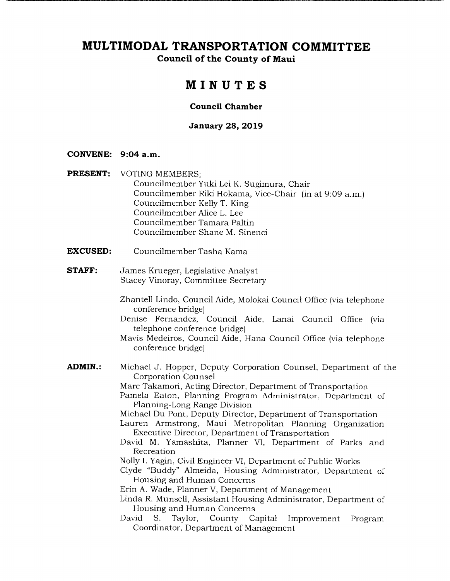# **MULTIMODAL TRANSPORTATION COMMITTEE**

**Council of the County of Maui** 

# **MINUTES**

### **Council Chamber**

### **January 28, 2019**

#### **CONVENE: 9:04a.m.**

- **PRESENT:** VOTING MEMBERS: Councilmember Yuki Lei K. Sugimura, Chair Councilmember Riki Hokama, Vice-Chair (in at 9:09 a.m.) Councilmember Kelly T. King Councilmember Alice L. Lee Councilmember Tamara Paltin Councilmember Shane M. Sinenci
- **EXCUSED:** Councilmember Tasha Kama
- **STAFF:** James Krueger, Legislative Analyst Stacey Vinoray, Committee Secretary
	- Zhantell Lindo, Council Aide, Molokai Council Office (via telephone conference bridge)
	- Denise Fernandez, Council Aide, Lanai Council Office (via telephone conference bridge)
	- Mavis Medeiros, Council Aide, Hana Council Office (via telephone conference bridge)
- **ADMIN.:** Michael J. Hopper, Deputy Corporation Counsel, Department of the Corporation Counsel

Marc Takamori, Acting Director, Department of Transportation

- Pamela Eaton, Planning Program Administrator, Department of Planning-Long Range Division
- Michael Du Pont, Deputy Director, Department of Transportation
- Lauren Armstrong, Maui Metropolitan Planning Organization Executive Director, Department of Transportation
- David M. Yamashita, Planner VI, Department of Parks and Recreation
- Nolly I. Yagin, Civil Engineer VI, Department of Public Works
- Clyde "Buddy" Almeida, Housing Administrator, Department of Housing and Human Concerns
- Erin A. Wade, Planner V, Department of Management
- Linda R. Munsell, Assistant Housing Administrator, Department of Housing and Human Concerns
- David S. Taylor, County Capital Improvement Program Coordinator, Department of Management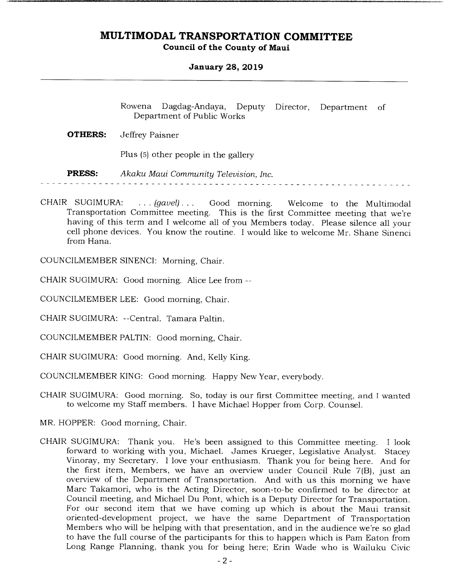### **January 28, 2019**

Rowena Dagdag-Andaya, Deputy Director, Department of Department of Public Works

**OTHERS:** Jeffrey Paisner

Plus (5) other people in the gallery

*PRESS: Akaku Maui Community Television, Inc.* 

CHAIR SUGIMURA: . . . *(gavel). . .* Good morning. Welcome to the Multimodal Transportation Committee meeting. This is the first Committee meeting that we're having of this term and I welcome all of you Members today. Please silence all your cell phone devices. You know the routine. I would like to welcome Mr. Shane Sinenci from Hana.

COUNCILMEMBER SINENCI: Morning, Chair.

CHAIR SUGIMURA: Good morning. Alice Lee from --

COUNCILMEMBER LEE: Good morning, Chair.

CHAIR SUGIMURA: --Central. Tamara Paltin.

COUNCILMEMBER PALTIN: Good morning, Chair.

CHAIR SUGIMURA: Good morning. And, Kelly King.

COUNCILMEMBER KING: Good morning. Happy New Year, everybody.

CHAIR SUGIMURA: Good morning. So, today is our first Committee meeting, and I wanted to welcome my Staff members. I have Michael Hopper from Corp. Counsel.

MR. HOPPER: Good morning, Chair.

CHAIR SUGIMURA: Thank you. He's been assigned to this Committee meeting. I look forward to working with you, Michael. James Krueger, Legislative Analyst. Stacey Vinoray, my Secretary. I love your enthusiasm. Thank you for being here. And for the first item, Members, we have an overview under Council Rule 7(B), just an overview of the Department of Transportation. And with us this morning we have Marc Takamori, who is the Acting Director, soon-to-be confirmed to be director at Council meeting, and Michael Du Pont, which is a Deputy Director for Transportation. For our second item that we have coming up which is about the Maui transit oriented-development project, we have the same Department of Transportation Members who will be helping with that presentation, and in the audience we're so glad to have the full course of the participants for this to happen which is Pam Eaton from Long Range Planning, thank you for being here; Erin Wade who is Wailuku Civic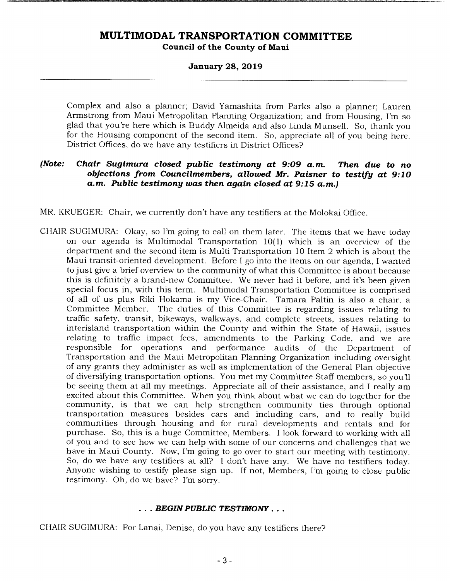#### **January 28, 2019**

Complex and also a planner; David Yamashita from Parks also a planner; Lauren Armstrong from Maui Metropolitan Planning Organization; and from Housing, I'm so glad that you're here which is Buddy Almeida and also Linda Munsell. So, thank you for the Housing component of the second item. So, appreciate all of you being here. District Offices, do we have any testifiers in District Offices?

### *(Note: Chair Sugimura closed public testimony at 9:09 a.m. Then due to no objections from Councilmembers, allowed Mr. Paisner to testify at 9:10 a.m. Public testimony was then again closed at 9:15 a.m.)*

MR. KRUEGER: Chair, we currently don't have any testifiers at the Molokai Office.

CHAIR SUGIMURA: Okay, so I'm going to call on them later. The items that we have today on our agenda is Multimodal Transportation 10(1) which is an overview of the department and the second item is Multi Transportation 10 Item 2 which is about the Maui transit-oriented development. Before I go into the items on our agenda, I wanted to just give a brief overview to the community of what this Committee is about because this is definitely a brand-new Committee. We never had it before, and it's been given special focus in, with this term. Multimodal Transportation Committee is comprised of all of us plus Riki Hokama is my Vice-Chair. Tamara Paltin is also a chair, a Committee Member. The duties of this Committee is regarding issues relating to traffic safety, transit, bikeways, walkways, and complete streets, issues relating to interisland transportation within the County and within the State of Hawaii, issues relating to traffic impact fees, amendments to the Parking Code, and we are responsible for operations and performance audits of the Department of Transportation and the Maui Metropolitan Planning Organization including oversight of any grants they administer as well as implementation of the General Plan objective of diversifying transportation options. You met my Committee Staff members, so you'll be seeing them at all my meetings. Appreciate all of their assistance, and I really am excited about this Committee. When you think about what we can do together for the community, is that we can help strengthen community ties through optional transportation measures besides cars and including cars, and to really build communities through housing and for rural developments and rentals and for purchase. So, this is a huge Committee, Members. I look forward to working with all of you and to see how we can help with some of our concerns and challenges that we have in Maui County. Now, I'm going to go over to start our meeting with testimony. So, do we have any testifiers at all? I don't have any. We have no testifiers today. Anyone wishing to testify please sign up. If not, Members, I'm going to close public testimony. Oh, do we have? I'm sorry.

### ... BEGIN PUBLIC TESTIMONY...

CHAIR SUGIMURA: For Lanai, Denise, do you have any testifiers there?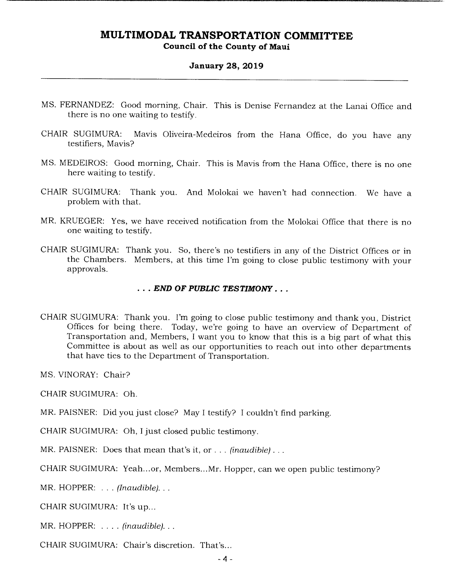#### **January 28, 2019**

- MS. FERNANDEZ: Good morning, Chair. This is Denise Fernandez at the Lanai Office and there is no one waiting to testify.
- CHAIR SUGIMURA: Mavis Oliveira-Medeiros from the Hana Office, do you have any testifiers, Mavis?
- MS. MEDEIROS: Good morning, Chair. This is Mavis from the Hana Office, there is no one here waiting to testify.
- CHAIR SUGIMURA: Thank you. And Molokai we haven't had connection. We have a problem with that.
- MR. KRUEGER: Yes, we have received notification from the Molokai Office that there is no one waiting to testify.
- CHAIR SUGIMURA: Thank you. So, there's no testifiers in any of the District Offices or in the Chambers. Members, at this time I'm going to close public testimony with your approvals.

#### **END OF PUBLIC TESTIMONY...**

CHAIR SUGIMURA: Thank you. I'm going to close public testimony and thank you, District Offices for being there. Today, we're going to have an overview of Department of Transportation and, Members, I want you to know that this is a big part of what this Committee is about as well as our opportunities to reach out into other departments that have ties to the Department of Transportation.

MS. VINORAY: Chair?

CHAIR SUGIMURA: Oh.

MR. PAISNER: Did you just close? May I testify? I couldn't find parking.

CHAIR SUGIMURA: Oh, I just closed public testimony.

MR. PAISNER: Does that mean that's it, or.. . *(*inaudible)...

CHAIR SUGIMURA: Yeah...or, Members...Mr. Hopper, can we open public testimony?

*MR. HOPPER:* ... (Inaudible)...

CHAIR SUGIMURA: It's up...

*MR. HOPPER: ..... (inaudible)...* 

CHAIR SUGIMURA: Chair's discretion. That's...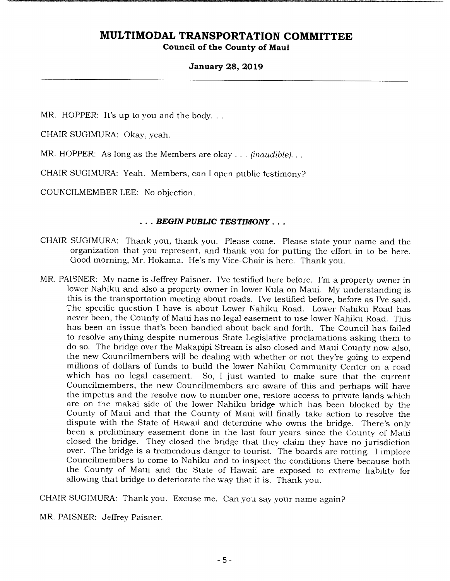### **January 28, 2019**

MR. HOPPER: It's up to you and the body...

CHAIR SUGIMURA: Okay, yeah.

MR. HOPPER: As long as the Members are okay. . . *(inaudible)...* 

CHAIR SUGIMURA: Yeah. Members, can I open public testimony?

COUNCILMEMBER LEE: No objection.

#### ... BEGIN PUBLIC TESTIMONY...

- CHAIR SUGIMURA: Thank you, thank you. Please come. Please state your name and the organization that you represent, and thank you for putting the effort in to be here. Good morning, Mr. Hokama. He's my Vice-Chair is here. Thank you.
- MR. PAISNER: My name is Jeffrey Paisner. I've testified here before. I'm a property owner in lower Nahiku and also a property owner in lower Kula on Maui. My understanding is this is the transportation meeting about roads. I've testified before, before as I've said. The specific question I have is about Lower Nahiku Road. Lower Nahiku Road has never been, the County of Maui has no legal easement to use lower Nahiku Road. This has been an issue that's been bandied about back and forth. The Council has failed to resolve anything despite numerous State Legislative proclamations asking them to do so. The bridge over the Makapipi Stream is also closed and Maui County now also, the new Councilmembers will be dealing with whether or not they're going to expend millions of dollars of funds to build the lower Nahiku Community Center on a road which has no legal easement. So, I just wanted to make sure that the current So, I just wanted to make sure that the current. Councilmembers, the new Councilmembers are aware of this and perhaps will have the impetus and the resolve now to number one, restore access to private lands which are on the makai side of the lower Nahiku bridge which has been blocked by the County of Maui and that the County of Maui will finally take action to resolve the dispute with the State of Hawaii and determine who owns the bridge. There's only been a preliminary easement done in the last four years since the County of Maui closed the bridge. They closed the bridge that they claim they have no jurisdiction over. The bridge is a tremendous danger to tourist. The boards are rotting. I implore Councilmembers to come to Nahiku and to inspect the conditions there because both the County of Maui and the State of Hawaii are exposed to extreme liability for allowing that bridge to deteriorate the way that it is. Thank you.

CHAIR SUGIMURA: Thank you. Excuse me. Can you say your name again?

MR. PAISNER: Jeffrey Paisner.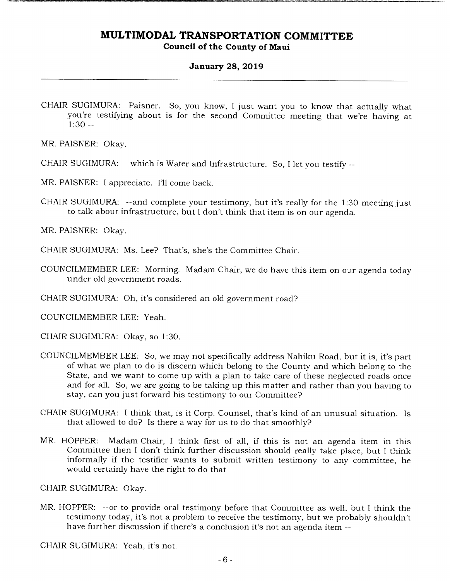### **January 28, 2019**

CHAIR SUGIMURA: Paisner. So, you know, I just want you to know that actually what you're testifying about is for the second Committee meeting that we're having at  $1:30 -$ 

MR. PAISNER: Okay.

- CHAIR SUGIMURA: --which is Water and Infrastructure. So, I let you testify --
- MR. PAISNER: I appreciate. I'll come back.
- CHAIR SUGIMURA: --and complete your testimony, but it's really for the 1:30 meeting just to talk about infrastructure, but I don't think that item is on our agenda.

MR. PAISNER: Okay.

CHAIR SUGIMURA: Ms. Lee? That's, she's the Committee Chair.

COUNCILMEMBER LEE: Morning. Madam Chair, we do have this item on our agenda today under old government roads.

CHAIR SUGIMURA: Oh, it's considered an old government road?

COUNCILMEMBER LEE: Yeah.

CHAIR SUGIMURA: Okay, so 1:30.

- COUNCILMEMBER LEE: So, we may not specifically address Nahiku Road, but it is, it's part of what we plan to do is discern which belong to the County and which belong to the State, and we want to come up with a plan to take care of these neglected roads once and for all. So, we are going to be taking up this matter and rather than you having to stay, can you just forward his testimony to our Committee?
- CHAIR SUGIMURA: I think that, is it Corp. Counsel, that's kind of an unusual situation. Is that allowed to do? Is there a way for us to do that smoothly?
- MR. HOPPER: Madam Chair, I think first of all, if this is not an agenda item in this Committee then I don't think further discussion should really take place, but I think informally if the testifier wants to submit written testimony to any committee, he would certainly have the right to do that --

CHAIR SUGIMURA: Okay.

MR. HOPPER: --or to provide oral testimony before that Committee as well, but I think the testimony today, it's not a problem to receive the testimony, but we probably shouldn't have further discussion if there's a conclusion it's not an agenda item --

CHAIR SUGIMURA: Yeah, it's not.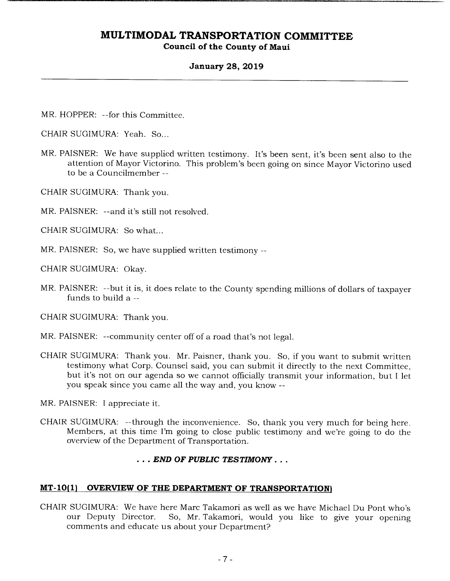### **January 28, 2019**

MR. HOPPER: --for this Committee.

CHAIR SUGIMURA: Yeah. So...

- MR. PAISNER: We have supplied written testimony. It's been sent, it's been sent also to the attention of Mayor Victorino. This problem's been going on since Mayor Victorino used to be a Councilmember --
- CHAIR SUGIMURA: Thank you.
- MR. PAISNER: --and it's still not resolved.
- CHAIR SUGIMURA: So what...
- MR. PAISNER: So, we have supplied written testimony --
- CHAIR SUGIMURA: Okay.
- MR. PAISNER: --but it is, it does relate to the County spending millions of dollars of taxpayer funds to build a --

CHAIR SUGIMURA: Thank you.

- MR. PAISNER: --community center off of a road that's not legal.
- CHAIR SUGIMURA: Thank you. Mr. Paisner, thank you. So, if you want to submit written testimony what Corp. Counsel said, you can submit it directly to the next Committee, but it's not on our agenda so we cannot officially transmit your information, but I let you speak since you came all the way and, you know --

MR. PAISNER: I appreciate it.

CHAIR SUGIMURA: --through the inconvenience. So, thank you very much for being here. Members, at this time I'm going to close public testimony and we're going to do the overview of the Department of Transportation.

#### *• END OF PUBLIC TESTIMONY...*

#### **MT-10(1) OVERVIEW OF THE DEPARTMENT OF TRANSPORTATION)**

CHAIR SUGIMURA: We have here Marc Takamori as well as we have Michael Du Pont who's So, Mr. Takamori, would you like to give your opening comments and educate us about your Department?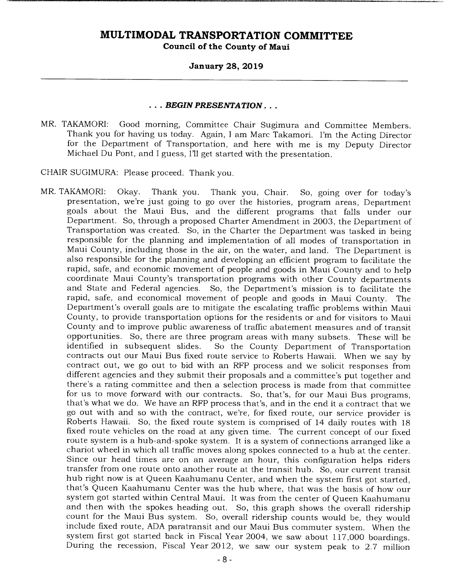#### **January 28, 2019**

#### ... *BEGIN PRESENTATION* ...

MR. TAKAMORI: Good morning, Committee Chair Sugimura and Committee Members. Thank you for having us today. Again, I am Marc Takamori. I'm the Acting Director for the Department of Transportation, and here with me is my Deputy Director Michael Du Pont, and I guess, I'll get started with the presentation.

CHAIR SUGIMURA: Please proceed. Thank you.

MR. TAKAMORI: Okay. Thank you. Thank you, Chair. So, going over for today's presentation, we're just going to go over the histories, program areas, Department goals about the Maui Bus, and the different programs that falls under our Department. So, through a proposed Charter Amendment in 2003, the Department of Transportation was created. So, in the Charter the Department was tasked in being responsible for the planning and implementation of all modes of transportation in Maui County, including those in the air, on the water, and land. The Department is also responsible for the planning and developing an efficient program to facilitate the rapid, safe, and economic movement of people and goods in Maui County and to help coordinate Maui County's transportation programs with other County departments and State and Federal agencies. So, the Department's mission is to facilitate the rapid, safe, and economical movement of people and goods in Maui County. The Department's overall goals are to mitigate the escalating traffic problems within Maui County, to provide transportation options for the residents or and for visitors to Maui County and to improve public awareness of traffic abatement measures and of transit opportunities. So, there are three program areas with many subsets. These will be So the County Department of Transportation contracts out our Maui Bus fixed route service to Roberts Hawaii. When we say by contract out, we go out to bid with an RFP process and we solicit responses from different agencies and they submit their proposals and a committee's put together and there's a rating committee and then a selection process is made from that committee for us to move forward with our contracts. So, that's, for our Maui Bus programs, that's what we do. We have an RFP process that's, and in the end it a contract that we go out with and so with the contract, we're, for fixed route, our service provider is Roberts Hawaii. So, the fixed route system is comprised of 14 daily routes with 18 fixed route vehicles on the road at any given time. The current concept of our fixed route system is a hub-and-spoke system. It is a system of connections arranged like a chariot wheel in which all traffic moves along spokes connected to a hub at the center. Since our head times are on an average an hour, this configuration helps riders transfer from one route onto another route at the transit hub. So, our current transit hub right now is at Queen Kaahumanu Center, and when the system first got started, that's Queen Kaahumanu Center was the hub where, that was the basis of how our system got started within Central Maui. It was from the center of Queen Kaahumanu and then with the spokes heading out. So, this graph shows the overall ridership count for the Maui Bus system. So, overall ridership counts would be, they would include fixed route, ADA paratransit and our Maui Bus commuter system. When the system first got started back in Fiscal Year 2004, we saw about 117,000 boardings. During the recession, Fiscal Year 2012, we saw our system peak to 2.7 million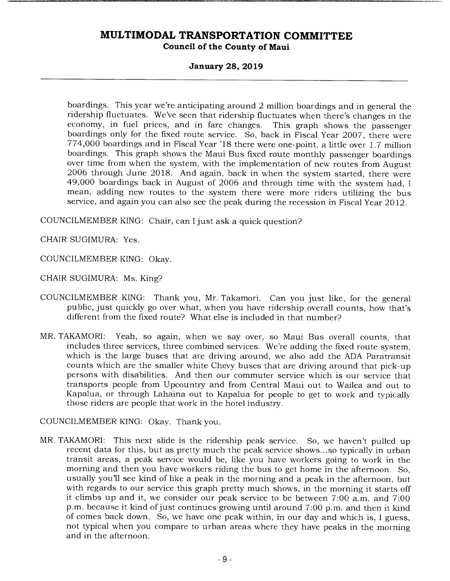### **January 28, 2019**

boardings. This year we're anticipating around 2 million boardings and in general the ridership fluctuates. We've seen that ridership fluctuates when there's changes in the economy, in fuel prices, and in fare changes. This graph shows the passenger boardings only for the fixed route service. So, back in Fiscal Year 2007, there were 774,000 boardings and in Fiscal Year '18 there were one-point, a little over 1.7 million boardings. This graph shows the Maui Bus fixed route monthly passenger boardings over time from when the system, with the implementation of new routes from August 2006 through June 2018. And again, back in when the system started, there were 49,000 boardings back in August of 2006 and through time with the system had, I mean, adding new routes to the system there were more riders utilizing the bus service, and again you can also see the peak during the recession in Fiscal Year 2012.

COUNCILMEMBER KING: Chair, can I just ask a quick question?

CHAIR SUGIMURA: Yes.

COUNCILMEMBER KING: Okay.

CHAIR SUGIMURA: Ms. King?

- COUNCILMEMBER KING: Thank you, Mr. Takamori. Can you just like, for the general public, just quickly go over what, when you have ridership overall counts, how that's different from the fixed route? What else is included in that number?
- MR. TAKAMORI: Yeah, so again, when we say over, so Maui Bus overall counts, that includes three services, three combined services. We're adding the fixed route system, which is the large buses that are driving around, we also add the ADA Paratransit counts which are the smaller white Chevy buses that are driving around that pick-up persons with disabilities. And then our commuter service which is our service that transports people from Upcountry and from Central Maui out to Wailea and out to Kapalua, or through Lahaina out to Kapalua for people to get to work and typically those riders are people that work in the hotel industry.

COUNCILMEMBER KING: Okay. Thank you.

MR. TAKAMORI: This next slide is the ridership peak service. So, we haven't pulled up recent data for this, but as pretty much the peak service shows.. .so typically in urban transit areas, a peak service would be, like you have workers going to work in the morning and then you have workers riding the bus to get home in the afternoon. So, usually you'll see kind of like a peak in the morning and a peak in the afternoon, but with regards to our service this graph pretty much shows, in the morning it starts off it climbs up and it, we consider our peak service to be between 7:00 a.m. and 7:00 p.m. because it kind of just continues growing until around 7:00 p.m. and then it kind of comes back down. So, we have one peak within, in our day and which is, I guess, not typical when you compare to urban areas where they have peaks in the morning and in the afternoon.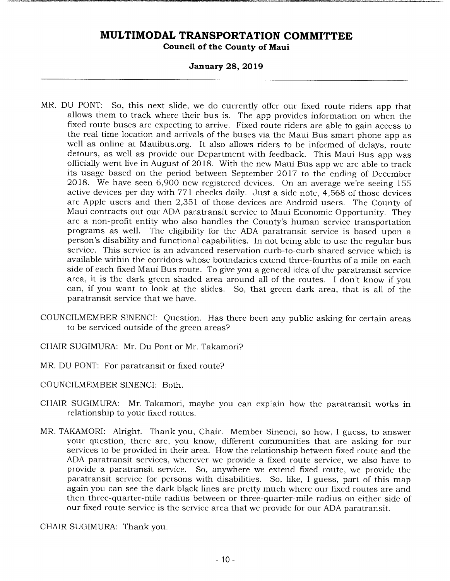#### **January 28, 2019**

- MR. DU PONT: So, this next slide, we do currently offer our fixed route riders app that allows them to track where their bus is. The app provides information on when the fixed route buses are expecting to arrive. Fixed route riders are able to gain access to the real time location and arrivals of the buses via the Maui Bus smart phone app as well as online at Mauibus.org. It also allows riders to be informed of delays, route detours, as well as provide our Department with feedback. This Maui Bus app was officially went live in August of 2018. With the new Maui Bus app we are able to track its usage based on the period between September 2017 to the ending of December 2018. We have seen 6,900 new registered devices. On an average we're seeing 155 active devices per day with 771 checks daily. Just a side note, 4,568 of those devices are Apple users and then 2,351 of those devices are Android users. The County of Maui contracts out our ADA paratransit service to Maui Economic Opportunity. They are a non-profit entity who also handles the County's human service transportation programs as well. The eligibility for the ADA paratransit service is based upon a person's disability and functional capabilities. In not being able to use the regular bus service. This service is an advanced reservation curb-to-curb shared service which is available within the corridors whose boundaries extend three-fourths of a mile on each side of each fixed Maui Bus route. To give you a general idea of the paratransit service area, it is the dark green shaded area around all of the routes. I don't know if you can, if you want to look at the slides. So, that green dark area, that is all of the paratransit service that we have.
- COUNCILMEMBER SINENCI: Question. Has there been any public asking for certain areas to be serviced outside of the green areas?
- CHAIR SUGIMURA: Mr. Du Pont or Mr. Takamori?
- MR. DU PONT: For paratransit or fixed route?
- COUNCILMEMBER SINENCI: Both.
- CHAIR SUGIMURA: Mr. Takamori, maybe you can explain how the paratransit works in relationship to your fixed routes.
- MR. TAKAMORI: Alright. Thank you, Chair. Member Sinenci, so how, I guess, to answer your question, there are, you know, different communities that are asking for our services to be provided in their area. How the relationship between fixed route and the ADA paratransit services, wherever we provide a fixed route service, we also have to provide a paratransit service. So, anywhere we extend fixed route, we provide the paratransit service for persons with disabilities. So, like, I guess, part of this map again you can see the dark black lines are pretty much where our fixed routes are and then three-quarter-mile radius between or three-quarter-mile radius on either side of our fixed route service is the service area that we provide for our ADA paratransit.

CHAIR SUGIMURA: Thank you.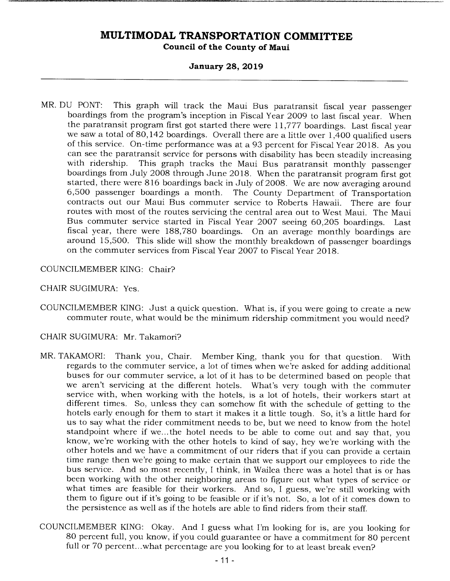#### **January 28, 2019**

MR. DU PONT: This graph will track the Maui Bus paratransit fiscal year passenger boardings from the program's inception in Fiscal Year 2009 to last fiscal year. When the paratransit program first got started there were 11,777 boardings. Last fiscal year we saw a total of 80,142 boardings. Overall there are a little over 1,400 qualified users of this service. On-time performance was at a 93 percent for Fiscal Year 2018. As you can see the paratransit service for persons with disability has been steadily increasing<br>with ridership. This graph tracks the Maui Bus paratransit monthly passenger This graph tracks the Maui Bus paratransit monthly passenger boardings from July 2008 through June 2018. When the paratransit program first got started, there were 816 boardings back in July of 2008. We are now averaging around 6,500 passenger boardings a month. The County Department of Transportation contracts out our Maui Bus commuter service to Roberts Hawaii. There are four routes with most of the routes servicing the central area out to West Maui. The Maui Bus commuter service started in Fiscal Year 2007 seeing 60,205 boardings. Last fiscal year, there were 188,780 boardings. On an average monthly boardings are around 15,500. This slide will show the monthly breakdown of passenger boardings on the commuter services from Fiscal Year 2007 to Fiscal Year 2018.

#### COUNCILMEMBER KING: Chair?

### CHAIR SUGIMURA: Yes.

COUNCILMEMBER KING: Just a quick question. What is, if you were going to create a new commuter route, what would be the minimum ridership commitment you would need?

### CHAIR SUGIMURA: Mr. Takamori?

- MR. TAKAMORI: Thank you, Chair. Member King, thank you for that question. With regards to the commuter service, a lot of times when we're asked for adding additional buses for our commuter service, a lot of it has to be determined based on people that we aren't servicing at the different hotels. What's very tough with the commuter service with, when working with the hotels, is a lot of hotels, their workers start at different times. So, unless they can somehow fit with the schedule of getting to the hotels early enough for them to start it makes it a little tough. So, it's a little hard for us to say what the rider commitment needs to be, but we need to know from the hotel standpoint where if we... the hotel needs to be able to come out and say that, you know, we're working with the other hotels to kind of say, hey we're working with the other hotels and we have a commitment of our riders that if you can provide a certain time range then we're going to make certain that we support our employees to ride the bus service. And so most recently, I think, in Wailea there was a hotel that is or has been working with the other neighboring areas to figure out what types of service or what times are feasible for their workers. And so, I guess, we're still working with them to figure out if it's going to be feasible or if it's not. So, a lot of it comes down to the persistence as well as if the hotels are able to find riders from their staff.
- COUNCILMEMBER KING: Okay. And I guess what I'm looking for is, are you looking for 80 percent full, you know, if you could guarantee or have a commitment for 80 percent full or 70 percent...what percentage are you looking for to at least break even?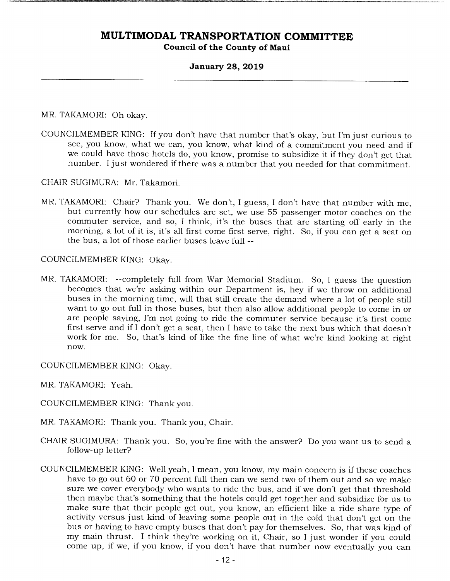### **January 28, 2019**

MR. TAKAMORI: Oh okay.

COUNCILMEMBER KING: If you don't have that number that's okay, but I'm just curious to see, you know, what we can, you know, what kind of a commitment you need and if we could have those hotels do, you know, promise to subsidize it if they don't get that number. I just wondered if there was a number that you needed for that commitment.

CHAIR SUGIMURA: Mr. Takamori.

MR. TAKAMORI: Chair? Thank you. We don't, I guess, I don't have that number with me, but currently how our schedules are set, we use 55 passenger motor coaches on the commuter service, and so, I think, it's the buses that are starting off early in the morning, a lot of it is, it's all first come first serve, right. So, if you can get a seat on the bus, a lot of those earlier buses leave full --

COUNCILMEMBER KING: Okay.

MR. TAKAMORI: --completely full from War Memorial Stadium. So, I guess the question becomes that we're asking within our Department is, hey if we throw on additional buses in the morning time, will that still create the demand where a lot of people still want to go out full in those buses, but then also allow additional people to come in or are people saying, I'm not going to ride the commuter service because it's first come first serve and if I don't get a seat, then I have to take the next bus which that doesn't work for me. So, that's kind of like the fine line of what we're kind looking at right now.

COUNCILMEMBER KING: Okay.

MR. TAKAMORI: Yeah.

- COUNCILMEMBER KING: Thank you.
- MR. TAKAMORI: Thank you. Thank you, Chair.
- CHAIR SUGIMURA: Thank you. So, you're fine with the answer? Do you want us to send a follow-up letter?
- COUNCILMEMBER KING: Well yeah, I mean, you know, my main concern is if these coaches have to go out 60 or 70 percent full then can we send two of them out and so we make sure we cover everybody who wants to ride the bus, and if we don't get that threshold then maybe that's something that the hotels could get together and subsidize for us to make sure that their people get out, you know, an efficient like a ride share type of activity versus just kind of leaving some people out in the cold that don't get on the bus or having to have empty buses that don't pay for themselves. So, that was kind of my main thrust. I think they're working on it, Chair, so I just wonder if you could come up, if we, if you know, if you don't have that number now eventually you can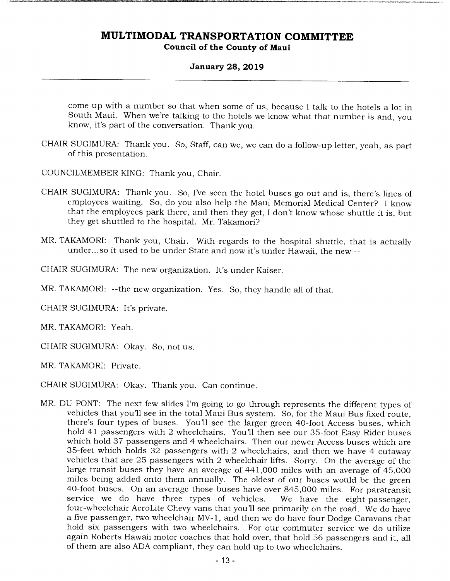### **January 28, 2019**

come up with a number so that when some of us, because I talk to the hotels a lot in South Maui. When we're talking to the hotels we know what that number is and, you know, it's part of the conversation. Thank you.

- CHAIR SUGIMURA: Thank you. So, Staff, can we, we can do a follow-up letter, yeah, as part of this presentation.
- COUNCILMEMBER KING: Thank you, Chair.
- CHAIR SUGIMURA: Thank you. So, I've seen the hotel buses go out and is, there's lines of employees waiting. So, do you also help the Maui Memorial Medical Center? I know that the employees park there, and then they get, I don't know whose shuttle it is, but they get shuttled to the hospital. Mr. Takamori?
- MR. TAKAMORI: Thank you, Chair. With regards to the hospital shuttle, that is actually under... so it used to be under State and now it's under Hawaii, the new --
- CHAIR SUGIMURA: The new organization. It's under Kaiser.
- MR. TAKAMORI: --the new organization. Yes. So, they handle all of that.
- CHAIR SUGIMURA: It's private.
- MR. TAKAMORI: Yeah.
- CHAIR SUGIMURA: Okay. So, not us.
- MR. TAKAMORI: Private.
- CHAIR SUGIMURA: Okay. Thank you. Can continue.
- MR. DU PONT: The next few slides I'm going to go through represents the different types of vehicles that you'll see in the total Maui Bus system. So, for the Maui Bus fixed route, there's four types of buses. You'll see the larger green 40-foot Access buses, which hold 41 passengers with 2 wheelchairs. You'll then see our 35-foot Easy Rider buses which hold 37 passengers and 4 wheelchairs. Then our newer Access buses which are 35-feet which holds 32 passengers with 2 wheelchairs, and then we have 4 cutaway vehicles that are 25 passengers with 2 wheelchair lifts. Sorry. On the average of the large transit buses they have an average of 441,000 miles with an average of 45,000 miles being added onto them annually. The oldest of our buses would be the green 40-foot buses. On an average those buses have over 845,000 miles. For paratransit service we do have three types of vehicles. We have the eight-passenger, four-wheelchair AeroLite Chevy vans that you'll see primarily on the road. We do have a five passenger, two wheelchair MV- 1, and then we do have four Dodge Caravans that hold six passengers with two wheelchairs. For our commuter service we do utilize again Roberts Hawaii motor coaches that hold over, that hold 56 passengers and it, all of them are also ADA compliant, they can hold up to two wheelchairs.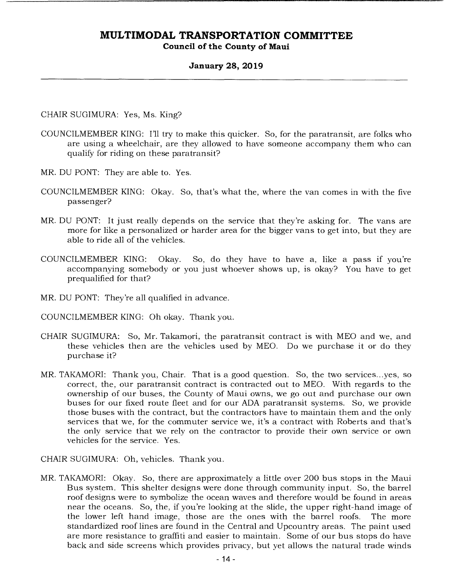### **January 28, 2019**

CHAIR SUGIMURA: Yes, Ms. King?

- COUNCILMEMBER KING: I'll try to make this quicker. So, for the paratransit, are folks who are using a wheelchair, are they allowed to have someone accompany them who can qualify for riding on these paratransit?
- MR. DU PONT: They are able to. Yes.
- COUNCILMEMBER KING: Okay. So, that's what the, where the van comes in with the five passenger?
- MR. DU PONT: It just really depends on the service that they're asking for. The vans are more for like a personalized or harder area for the bigger vans to get into, but they are able to ride all of the vehicles.
- COUNCILMEMBER KING: Okay. So, do they have to have a, like a pass if you're accompanying somebody or you just whoever shows up, is okay? You have to get prequalified for that?
- MR. DU PONT: They're all qualified in advance.

COUNCILMEMBER KING: Oh okay. Thank you.

- CHAIR SUGIMURA: So, Mr. Takamori, the paratransit contract is with MEO and we, and these vehicles then are the vehicles used by MEO. Do we purchase it or do they purchase it?
- MR. TAKAMORI: Thank you, Chair. That is a good question. So, the two services.. .yes, so correct, the, our paratransit contract is contracted out to MEO. With regards to the ownership of our buses, the County of Maui owns, we go out and purchase our own buses for our fixed route fleet and for our ADA paratransit systems. So, we provide those buses with the contract, but the contractors have to maintain them and the only services that we, for the commuter service we, it's a contract with Roberts and that's the only service that we rely on the contractor to provide their own service or own vehicles for the service. Yes.

CHAIR SUGIMURA: Oh, vehicles. Thank you.

MR. TAKAMORI: Okay. So, there are approximately a little over 200 bus stops in the Maui Bus system. This shelter designs were done through community input. So, the barrel roof designs were to symbolize the ocean waves and therefore would be found in areas near the oceans. So, the, if you're looking at the slide, the upper right-hand image of the lower left hand image, those are the ones with the barrel roofs. The more standardized roof lines are found in the Central and Upcountry areas. The paint used are more resistance to graffiti and easier to maintain. Some of our bus stops do have back and side screens which provides privacy, but yet allows the natural trade winds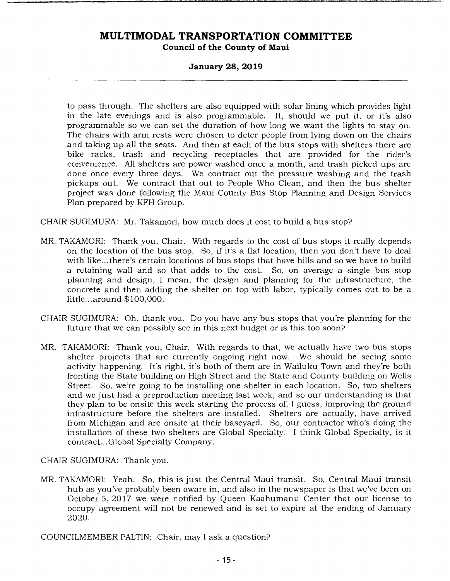### **January 28, 2019**

to pass through. The shelters are also equipped with solar lining which provides light in the late evenings and is also programmable. It, should we put it, or it's also programmable so we can set the duration of how long we want the lights to stay on. The chairs with arm rests were chosen to deter people from lying down on the chairs and taking up all the seats. And then at each of the bus stops with shelters there are bike racks, trash and recycling receptacles that are provided for the rider's convenience. All shelters are power washed once a month, and trash picked ups are done once every three days. We contract out the pressure washing and the trash pickups out. We contract that out to People Who Clean, and then the bus shelter project was done following the Maui County Bus Stop Planning and Design Services Plan prepared by KFH Group.

CHAIR SUGIMURA: Mr. Takamori, how much does it cost to build a bus stop?

- MR. TAKAMORI: Thank you, Chair. With regards to the cost of bus stops it really depends on the location of the bus stop. So, if it's a flat location, then you don't have to deal with like.., there's certain locations of bus stops that have hills and so we have to build a retaining wall and so that adds to the cost. So, on average a single bus stop planning and design, I mean, the design and planning for the infrastructure, the concrete and then adding the shelter on top with labor, typically comes out to be a little ... around \$100,000.
- CHAIR SUGIMURA: Oh, thank you. Do you have any bus stops that you're planning for the future that we can possibly see in this next budget or is this too soon?
- MR. TAKAMORI: Thank you, Chair. With regards to that, we actually have two bus stops shelter projects that are currently ongoing right now. We should be seeing some activity happening. It's right, it's both of them are in Wailuku Town and they're both fronting the State building on High Street and the State and County building on Wells Street. So, we're going to be installing one shelter in each location. So, two shelters and we just had a preproduction meeting last week, and so our understanding is that they plan to be onsite this week starting the process of, I guess, improving the ground infrastructure before the shelters are installed. Shelters are actually, have arrived from Michigan and are onsite at their baseyard. So, our contractor who's doing the installation of these two shelters are Global Specialty. I think Global Specialty, is it contract... Global Specialty Company.

CHAIR SUGIMURA: Thank you.

MR. TAKAMORI: Yeah. So, this is just the Central Maui transit. So, Central Maui transit hub as you've probably been aware in, and also in the newspaper is that we've been on October 5, 2017 we were notified by Queen Kaahumanu Center that our license to occupy agreement will not be renewed and is set to expire at the ending of January 2020.

COUNCILMEMBER PALTIN: Chair, may I ask a question?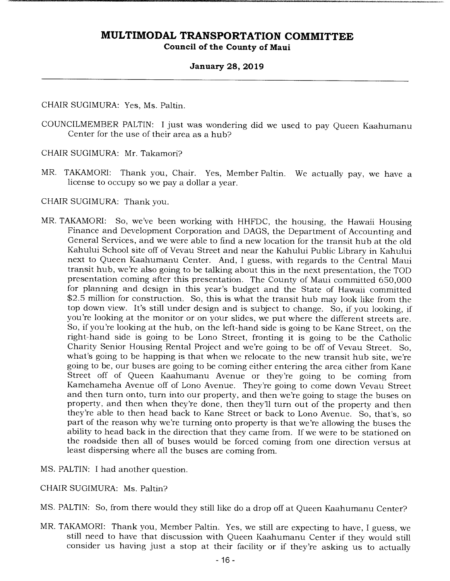#### **January 28, 2019**

CHAIR SUGIMURA: Yes, Ms. Paltin.

COUNCILMEMBER PALTIN: I just was wondering did we used to pay Queen Kaahumanu Center for the use of their area as a hub?

CHAIR SUGIMURA: Mr. Takamori?

- MR. TAKAMORI: Thank you, Chair. Yes, Member Paltin. We actually pay, we have a license to occupy so we pay a dollar a year.
- CHAIR SUGIMURA: Thank you.
- MR. TAKAMORI: So, we've been working with HHFDC, the housing, the Hawaii Housing Finance and Development Corporation and DAGS, the Department of Accounting and General Services, and we were able to find a new location for the transit hub at the old Kahului School site off of Vevau Street and near the Kahului Public Library in Kahului next to Queen Kaahumanu Center. And, I guess, with regards to the Central Maui transit hub, we're also going to be talking about this in the next presentation, the TOD presentation coming after this presentation. The County of Maui committed 650,000 for planning and design in this year's budget and the State of Hawaii committed \$2.5 million for construction. So, this is what the transit hub may look like from the top down view. It's still under design and is subject to change. So, if you looking, if you're looking at the monitor or on your slides, we put where the different streets are. So, if you're looking at the hub, on the left-hand side is going to be Kane Street, on the right-hand side is going to be Lono Street, fronting it is going to be the Catholic Charity Senior Housing Rental Project and we're going to be off of Vevau Street. So, what's going to be happing is that when we relocate to the new transit hub site, we're going to be, our buses are going to be coming either entering the area either from Kane Street off of Queen Kaahumanu Avenue or they're going to be coming from Kamehameha Avenue off of Lono Avenue. They're going to come down Vevau Street and then turn onto, turn into our property, and then we're going to stage the buses on property, and then when they're done, then they'll turn out of the property and then they're able to then head back to Kane Street or back to Lono Avenue. So, that's, so part of the reason why we're turning onto property is that we're allowing the buses the ability to head back in the direction that they came from. If we were to be stationed on the roadside then all of buses would be forced coming from one direction versus at least dispersing where all the buses are coming from.
- MS. PALTIN: I had another question.
- CHAIR SUGIMURA: Ms. Paltin?
- MS. PALTIN: So, from there would they still like do a drop off at Queen Kaahumanu Center?
- MR. TAKAMORI: Thank you, Member Paltin. Yes, we still are expecting to have, I guess, we still need to have that discussion with Queen Kaahumanu Center if they would still consider us having just a stop at their facility or if they're asking us to actually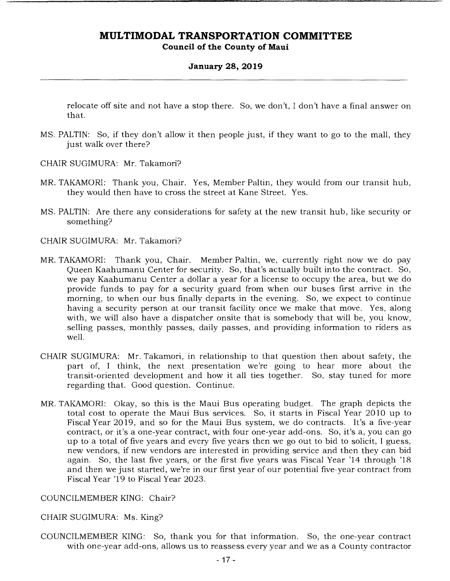### **January 28, 2019**

relocate off site and not have a stop there. So, we don't, I don't have a final answer on that.

- MS. PALTIN: So, if they don't allow it then people just, if they want to go to the mall, they just walk over there?
- CHAIR SUGIMURA: Mr. Takamori?
- MR. TAKAMORI: Thank you, Chair. Yes, Member Paltin, they would from our transit hub, they would then have to cross the street at Kane Street. Yes.
- MS. PALTIN: Are there any considerations for safety at the new transit hub, like security or something?

CHAIR SUGIMURA: Mr. Takamori?

- MR. TAKAMORI: Thank you, Chair. Member Paltin, we, currently right now we do pay Queen Kaahumanu Center for security. So, that's actually built into the contract. So, we pay Kaahumanu Center a dollar a year for a license to occupy the area, but we do provide funds to pay for a security guard from when our buses first arrive in the morning, to when our bus finally departs in the evening. So, we expect to continue having a security person at our transit facility once we make that move. Yes, along with, we will also have a dispatcher onsite that is somebody that will be, you know, selling passes, monthly passes, daily passes, and providing information to riders as well.
- CHAIR SUGIMURA: Mr. Takamori, in relationship to that question then about safety, the part of, I think, the next presentation we're going to hear more about the transit-oriented development and how it all ties together. So, stay tuned for more regarding that. Good question. Continue.
- MR. TAKAMORI: Okay, so this is the Maui Bus operating budget. The graph depicts the total cost to operate the Maui Bus services. So, it starts in Fiscal Year 2010 up to Fiscal Year 2019, and so for the Maui Bus system, we do contracts. It's a five-year contract, or it's a one-year contract, with four one-year add-ons. So, it's a, you can go up to a total of five years and every five years then we go out to bid to solicit, I guess, new vendors, if new vendors are interested in providing service and then they can bid again. So, the last five years, or the first five years was Fiscal Year '14 through '18 and then we just started, we're in our first year of our potential five-year contract from Fiscal Year '19 to Fiscal Year 2023.

#### COUNCILMEMBER KING: Chair?

#### CHAIR SUGIMURA: Ms. King?

COUNCILMEMBER KING: So, thank you for that information. So, the one-year contract with one-year add-ons, allows us to reassess every year and we as a County contractor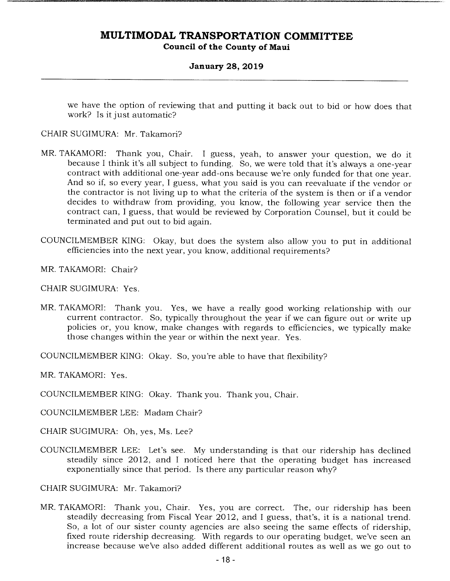### **January 28, 2019**

we have the option of reviewing that and putting it back out to bid or how does that work? Is it just automatic?

#### CHAIR SUGIMURA: Mr. Takamori?

- MR. TAKAMORI: Thank you, Chair. I guess, yeah, to answer your question, we do it because I think it's all subject to funding. So, we were told that it's always a one-year contract with additional one-year add-ons because we're only funded for that one year. And so if, so every year, I guess, what you said is you can reevaluate if the vendor or the contractor is not living up to what the criteria of the system is then or if a vendor decides to withdraw from providing, you know, the following year service then the contract can, I guess, that would be reviewed by Corporation Counsel, but it could be terminated and put out to bid again.
- COUNCILMEMBER KING: Okay, but does the system also allow you to put in additional efficiencies into the next year, you know, additional requirements?
- MR. TAKAMORI: Chair?
- CHAIR SUGIMURA: Yes.
- MR. TAKAMORI: Thank you. Yes, we have a really good working relationship with our current contractor. So, typically throughout the year if we can figure out or write up policies or, you know, make changes with regards to efficiencies, we typically make those changes within the year or within the next year. Yes.
- COUNCILMEMBER KING: Okay. So, you're able to have that flexibility?
- MR. TAKAMORI: Yes.
- COUNCILMEMBER KING: Okay. Thank you. Thank you, Chair.
- COUNCILMEMBER LEE: Madam Chair?
- CHAIR SUGIMURA: Oh, yes, Ms. Lee?
- COUNCILMEMBER LEE: Let's see. My understanding is that our ridership has declined steadily since 2012, and I noticed here that the operating budget has increased exponentially since that period. Is there any particular reason why?
- CHAIR SUGIMURA: Mr. Takamori?
- MR. TAKAMORI: Thank you, Chair. Yes, you are correct. The, our ridership has been steadily decreasing from Fiscal Year 2012, and I guess, that's, it is a national trend. So, a lot of our sister county agencies are also seeing the same effects of ridership, fixed route ridership decreasing. With regards to our operating budget, we've seen an increase because we've also added different additional routes as well as we go out to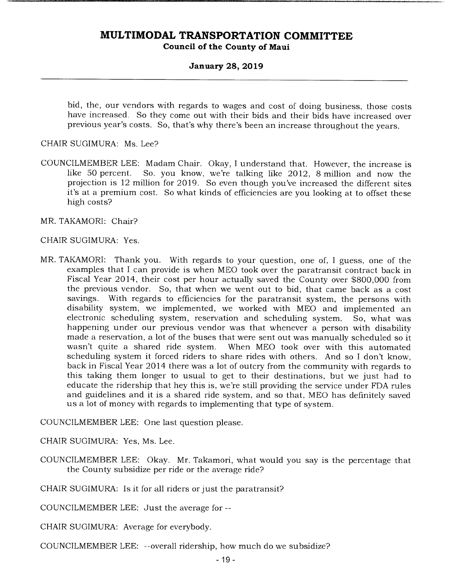#### **January 28, 2019**

bid, the, our vendors with regards to wages and cost of doing business, those costs have increased. So they come out with their bids and their bids have increased over previous year's costs. So, that's why there's been an increase throughout the years.

CHAIR SUGIMURA: Ms. Lee?

COUNCILMEMBER LEE: Madam Chair. Okay, I understand that. However, the increase is So. you know, we're talking like 2012, 8 million and now the projection is 12 million for 2019. So even though you've increased the different sites it's at a premium cost. So what kinds of efficiencies are you looking at to offset these high costs?

MR. TAKAMORI: Chair?

#### CHAIR SUGIMURA: Yes.

MR. TAKAMORI: Thank you. With regards to your question, one of, I guess, one of the examples that I can provide is when MEO took over the paratransit contract back in Fiscal Year 2014, their cost per hour actually saved the County over \$800,000 from the previous vendor. So, that when we went out to bid, that came back as a cost savings. With regards to efficiencies for the paratransit system, the persons with disability system, we implemented, we worked with MEO and implemented an electronic scheduling system, reservation and scheduling system. So, what was happening under our previous vendor was that whenever a person with disability made a reservation, a lot of the buses that were sent out was manually scheduled so it wasn't quite a shared ride system. When MEO took over with this automated When MEO took over with this automated scheduling system it forced riders to share rides with others. And so I don't know, back in Fiscal Year 2014 there was a lot of outcry from the community with regards to this taking them longer to usual to get to their destinations, but we just had to educate the ridership that hey this is, we're still providing the service under FDA rules and guidelines and it is a shared ride system, and so that, MEO has definitely saved us a lot of money with regards to implementing that type of system.

COUNCILMEMBER LEE: One last question please.

CHAIR SUGIMURA: Yes, Ms. Lee.

COUNCILMEMBER LEE: Okay. Mr. Takamori, what would you say is the percentage that the County subsidize per ride or the average ride?

CHAIR SUGIMURA: Is it for all riders or just the paratransit?

COUNCILMEMBER LEE: Just the average for --

CHAIR SUGIMURA: Average for everybody.

COUNCILMEMBER LEE: --overall ridership, how much do we subsidize?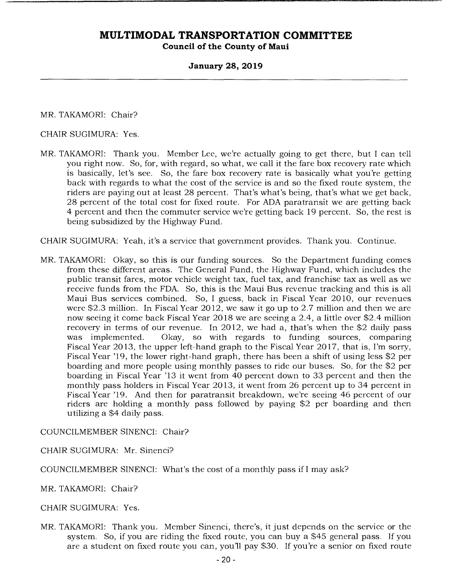#### **January 28, 2019**

MR. TAKAMORI: Chair?

CHAIR SUGIMURA: Yes.

MR. TAKAMORI: Thank you. Member Lee, we're actually going to get there, but I can tell you right now. So, for, with regard, so what, we call it the fare box recovery rate which is basically, let's see. So, the fare box recovery rate is basically what you're getting back with regards to what the cost of the service is and so the fixed route system, the riders are paying out at least 28 percent. That's what's being, that's what we get back, 28 percent of the total cost for fixed route. For ADA paratransit we are getting back 4 percent and then the commuter service we're getting back 19 percent. So, the rest is being subsidized by the Highway Fund.

CHAIR SUGIMURA: Yeah, it's a service that government provides. Thank you. Continue.

MR. TAKAMORI: Okay, so this is our funding sources. So the Department funding comes from these different areas. The General Fund, the Highway Fund, which includes the public transit fares, motor vehicle weight tax, fuel tax, and franchise tax as well as we receive funds from the FDA. So, this is the Maui Bus revenue tracking and this is all Maui Bus services combined. So, I guess, back in Fiscal Year 2010, our revenues were \$2.3 million. In Fiscal Year 2012, we saw it go up to 2.7 million and then we are now seeing it come back Fiscal Year 2018 we are seeing a 2.4, a little over \$2.4 million recovery in terms of our revenue. In 2012, we had a, that's when the \$2 daily pass was implemented. Okay, so with regards to funding sources, comparing Fiscal Year 2013, the upper left-hand graph to the Fiscal Year 2017, that is, I'm sorry, Fiscal Year '19, the lower right-hand graph, there has been a shift of using less \$2 per boarding and more people using monthly passes to ride our buses. So, for the \$2 per boarding in Fiscal Year '13 it went from 40 percent down to 33 percent and then the monthly pass holders in Fiscal Year 2013, it went from 26 percent up to 34 percent in Fiscal Year '19. And then for paratransit breakdown, we're seeing 46 percent of our riders are holding a monthly pass followed by paying \$2 per boarding and then utilizing a \$4 daily pass.

COUNCILMEMBER SINENCI: Chair?

CHAIR SUGIMURA: Mr. Sinenci?

COUNCILM EMBER SINENCI: What's the cost of a monthly pass if I may ask?

MR. TAKAMORI: Chair?

CHAIR SUGIMURA: Yes.

MR. TAKAMORI: Thank you. Member Sinenci, there's, it just depends on the service or the system. So, if you are riding the fixed route, you can buy a \$45 general pass. If you are a student on fixed route you can, you'll pay \$30. If you're a senior on fixed route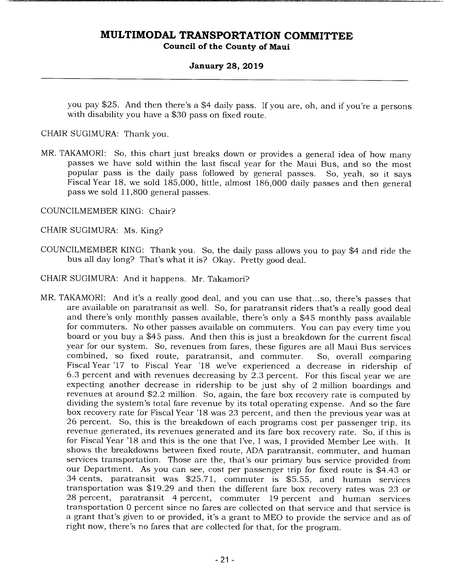#### **January 28, 2019**

you pay \$25. And then there's a \$4 daily pass. If you are, oh, and if you're a persons with disability you have a \$30 pass on fixed route.

CHAIR SUGIMURA: Thank you.

- MR. TAKAMORI: So, this chart just breaks down or provides a general idea of how many passes we have sold within the last fiscal year for the Maui Bus, and so the most popular pass is the daily pass followed by general passes. So, yeah, so it says For the Fiscal Year 18, we sold 185,000, little, almost 186,000 daily passes and then general pass we sold 11,800 general passes.
- COUNCILMEMBER KING: Chair?
- CHAIR SUGIMURA: Ms. King?
- COUNCILMEMBER KING: Thank you. So, the daily pass allows you to pay \$4 and ride the bus all day long? That's what it is? Okay. Pretty good deal.
- CHAIR SUGIMURA: And it happens. Mr. Takamori?
- MR. TAKAMORI: And it's a really good deal, and you can use that... so, there's passes that are available on paratransit as well. So, for paratransit riders that's a really good deal and there's only monthly passes available, there's only a \$45 monthly pass available for commuters. No other passes available on commuters. You can pay every time you board or you buy a \$45 pass. And then this is just a breakdown for the current fiscal year for our system. So, revenues from fares, these figures are all Maui Bus services combined, so fixed route, paratransit, and commuter. So, overall comparing Fiscal Year '17 to Fiscal Year '18 we've experienced a decrease in ridership of 6.3 percent and with revenues decreasing by 2.3 percent. For this fiscal year we are expecting another decrease in ridership to be just shy of 2 million boardings and revenues at around \$2.2 million. So, again, the fare box recovery rate is computed by dividing the system's total fare revenue by its total operating expense. And so the fare box recovery rate for Fiscal Year '18 was 23 percent, and then the previous year was at 26 percent. So, this is the breakdown of each programs cost per passenger trip, its revenue generated, its revenues generated and its fare box recovery rate. So, if this is for Fiscal Year '18 and this is the one that I've, I was, I provided Member Lee with. It shows the breakdowns between fixed route, ADA paratransit, commuter, and human services transportation. Those are the, that's our primary bus service provided from our Department. As you can see, cost per passenger trip for fixed route is \$4.43 or 34 cents, paratransit was \$25.71, commuter is \$5.55, and human services transportation was \$19.29 and then the different fare box recovery rates was 23 or 28 percent, paratransit 4 percent, commuter 19 percent and human services transportation 0 percent since no fares are collected on that service and that service is a grant that's given to or provided, it's a grant to MEO to provide the service and as of right now, there's no fares that are collected for that, for the program.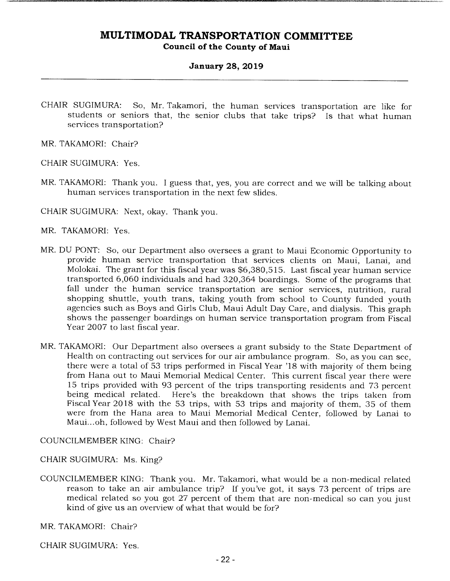### **January 28, 2019**

CHAIR SUGIMURA: So, Mr. Takamori, the human services transportation are like for students or seniors that, the senior clubs that take trips? Is that what human services transportation?

MR. TAKAMORI: Chair?

CHAIR SUGIMURA: Yes.

MR. TAKAMORI: Thank you. I guess that, yes, you are correct and we will be talking about human services transportation in the next few slides.

CHAIR SUGIMURA: Next, okay. Thank you.

MR. TAKAMORI: Yes.

- MR. DU PONT: So, our Department also oversees a grant to Maui Economic Opportunity to provide human service transportation that services clients on Maui, Lanai, and Molokai. The grant for this fiscal year was \$6,380,515. Last fiscal year human service transported 6,060 individuals and had 320,364 boardings. Some of the programs that fall under the human service transportation are senior services, nutrition, rural shopping shuttle, youth trans, taking youth from school to County funded youth agencies such as Boys and Girls Club, Maui Adult Day Care, and dialysis. This graph shows the passenger boardings on human service transportation program from Fiscal Year 2007 to last fiscal year.
- MR. TAKAMORI: Our Department also oversees a grant subsidy to the State Department of Health on contracting out services for our air ambulance program. So, as you can see, there were a total of 53 trips performed in Fiscal Year '18 with majority of them being from Hana out to Maui Memorial Medical Center. This current fiscal year there were 15 trips provided with 93 percent of the trips transporting residents and 73 percent being medical related. Here's the breakdown that shows the trips taken from Fiscal Year 2018 with the 53 trips, with 53 trips and majority of them, 35 of them were from the Hana area to Maui Memorial Medical Center, followed by Lanai to Maui... oh, followed by West Maui and then followed by Lanai.

COUNCILMEMBER KING: Chair?

CHAIR SUGIMURA: Ms. King?

COUNCILMEMBER KING: Thank you. Mr. Takamori, what would be a non-medical related reason to take an air ambulance trip? If you've got, it says 73 percent of trips are medical related so you got 27 percent of them that are non-medical so can you just kind of give us an overview of what that would be for?

MR. TAKAMORI: Chair?

CHAIR SUGIMURA: Yes.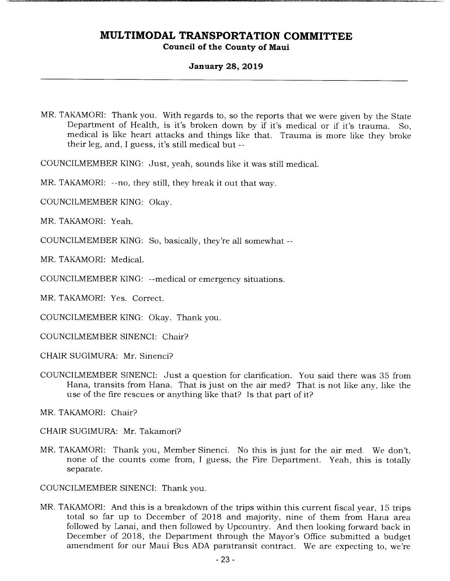### **January 28, 2019**

MR. TAKAMORI: Thank you. With regards to, so the reports that we were given by the State Department of Health, is it's broken down by if it's medical or if it's trauma. So, medical is like heart attacks and things like that. Trauma is more like they broke their leg, and, I guess, it's still medical but --

COUNCILMEMBER KING: Just, yeah, sounds like it was still medical.

MR. TAKAMORI: --no, they still, they break it out that way.

COUNCILMEMBER KING: Okay.

MR. TAKAMORI: Yeah.

COUNCILMEMBER KING: So, basically, they're all somewhat --

MR. TAKAMORI: Medical.

COUNCILMEMBER KING: --medical or emergency situations.

MR. TAKAMORI: Yes. Correct.

COUNCILMEMBER KING: Okay. Thank you.

COUNCILMEMBER SINENCI: Chair?

CHAIR SUGIMURA: Mr. Sinenci?

COUNCILMEMBER SINENCI: Just a question for clarification. You said there was 35 from Hana, transits from Hana. That is just on the air med? That is not like any, like the use of the fire rescues or anything like that? Is that part of it?

MR. TAKAMORI: Chair?

CHAIR SUGIMURA: Mr. Takamori?

MR. TAKAMORI: Thank you, Member Sinenci. No this is just for the air med. We don't, none of the counts come from, I guess, the Fire Department. Yeah, this is totally separate.

COUNCILMEMBER SINENCI: Thank you.

MR. TAKAMORI: And this is a breakdown of the trips within this current fiscal year, 15 trips total so far up to December of 2018 and majority, nine of them from Hana area followed by Lanai, and then followed by Upcountry. And then looking forward back in December of 2018, the Department through the Mayor's Office submitted a budget amendment for our Maui Bus ADA paratransit contract. We are expecting to, we're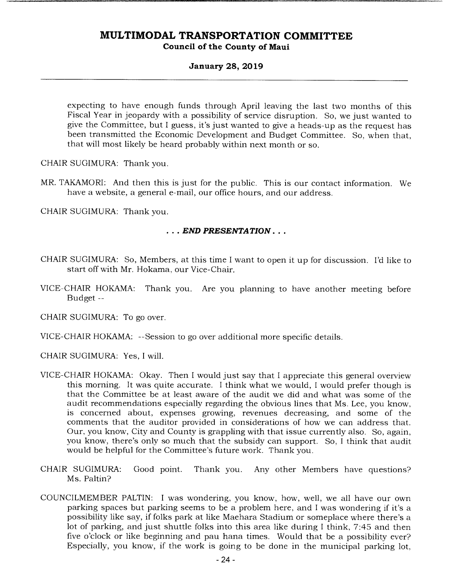#### **January 28, 2019**

expecting to have enough funds through April leaving the last two months of this Fiscal Year in jeopardy with a possibility of service disruption. So, we just wanted to give the Committee, but I guess, it's just wanted to give a heads-up as the request has been transmitted the Economic Development and Budget Committee. So, when that, that will most likely be heard probably within next month or so.

CHAIR SUGIMURA: Thank you.

MR. TAKAMORI: And then this is just for the public. This is our contact information. We have a website, a general e-mail, our office hours, and our address.

CHAIR SUGIMURA: Thank you.

#### *• END PRESENTATION...*

- CHAIR SUGIMURA: So, Members, at this time I want to open it up for discussion. I'd like to start off with Mr. Hokama, our Vice-Chair.
- VICE-CHAIR HOKAMA: Thank you. Are you planning to have another meeting before Budget --

CHAIR SUGIMURA: To go over.

VICE-CHAIR HOKAMA: --Session to go over additional more specific details.

CHAIR SUGIMURA: Yes, I will.

- VICE-CHAIR HOKAMA: Okay. Then I would just say that I appreciate this general overview this morning. It was quite accurate. I think what we would, I would prefer though is that the Committee be at least aware of the audit we did and what was some of the audit recommendations especially regarding the obvious lines that Ms. Lee, you know, is concerned about, expenses growing, revenues decreasing, and some of the comments that the auditor provided in considerations of how we can address that. Our, you know, City and County is grappling with that issue currently also. So, again, you know, there's only so much that the subsidy can support. So, I think that audit would be helpful for the Committee's future work. Thank you.
- CHAIR SUGIMURA: Good point. Thank you. Any other Members have questions? Ms. Paltin?
- COUNCILMEMBER PALTIN: I was wondering, you know, how, well, we all have our own parking spaces but parking seems to be a problem here, and I was wondering if it's a possibility like say, if folks park at like Maehara Stadium or someplace where there's a lot of parking, and just shuttle folks into this area like during I think, 7:45 and then five o'clock or like beginning and pau hana times. Would that be a possibility ever? Especially, you know, if the work is going to be done in the municipal parking lot,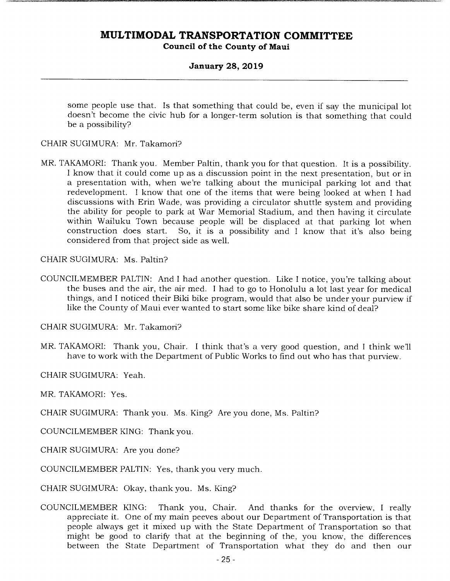### **January 28, 2019**

some people use that. Is that something that could be, even if say the municipal lot doesn't become the civic hub for a longer-term solution is that something that could be a possibility?

CHAIR SUGIMURA: Mr. Takamori?

MR. TAKAMORI: Thank you. Member Paltin, thank you for that question. It is a possibility. I know that it could come up as a discussion point in the next presentation, but or in a presentation with, when we're talking about the municipal parking lot and that redevelopment. I know that one of the items that were being looked at when I had discussions with Erin Wade, was providing a circulator shuttle system and providing the ability for people to park at War Memorial Stadium, and then having it circulate within Wailuku Town because people will be displaced at that parking lot when construction does start. So, it is a possibility and I know that it's also being So, it is a possibility and I know that it's also being considered from that project side as well.

CHAIR SUGIMURA: Ms. Paltin?

COUNCILMEMBER PALTIN: And I had another question. Like I notice, you're talking about the buses and the air, the air med. I had to go to Honolulu a lot last year for medical things, and I noticed their Biki bike program, would that also be under your purview if like the County of Maui ever wanted to start some like bike share kind of deal?

CHAIR SUGIMURA: Mr. Takamori?

MR. TAKAMORI: Thank you, Chair. I think that's a very good question, and I think well have to work with the Department of Public Works to find out who has that purview.

CHAIR SUGIMURA: Yeah.

MR. TAKAMORI: Yes.

CHAIR SUGIMURA: Thank you. Ms. King? Are you done, Ms. Paltin?

COUNCILMEMBER KING: Thank you.

CHAIR SUGIMURA: Are you done?

COUNCILMEMBER PALTIN: Yes, thank you very much.

CHAIR SUGIMURA: Okay, thank you. Ms. King?

COUNCILMEMBER KING: Thank you, Chair. And thanks for the overview, I really appreciate it. One of my main peeves about our Department of Transportation is that people always get it mixed up with the State Department of Transportation so that might be good to clarify that at the beginning of the, you know, the differences between the State Department of Transportation what they do and then our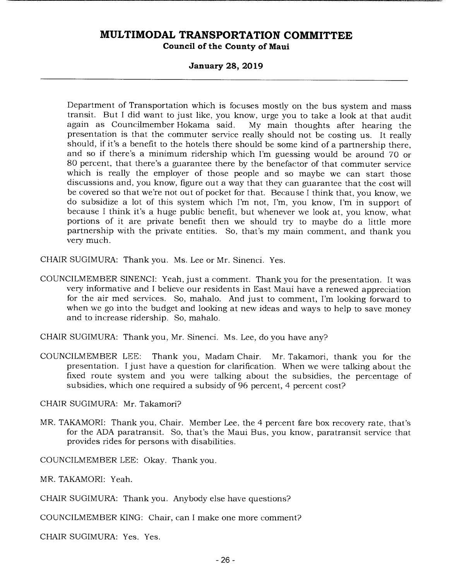#### **January 28, 2019**

Department of Transportation which is focuses mostly on the bus system and mass transit. But I did want to just like, you know, urge you to take a look at that audit My main thoughts after hearing the presentation is that the commuter service really should not be costing us. It really should, if it's a benefit to the hotels there should be some kind of a partnership there, and so if there's a minimum ridership which I'm guessing would be around 70 or 80 percent, that there's a guarantee there by the benefactor of that commuter service which is really the employer of those people and so maybe we can start those discussions and, you know, figure out a way that they can guarantee that the cost will be covered so that we're not out of pocket for that. Because I think that, you know, we do subsidize a lot of this system which I'm not, I'm, you know, I'm in support of because I think it's a huge public benefit, but whenever we look at, you know, what portions of it are private benefit then we should try to maybe do a little more partnership with the private entities. So, that's my main comment, and thank you very much.

CHAIR SUGIMURA: Thank you. Ms. Lee or Mr. Sinenci. Yes.

COUNCILMEMBER SINENCI: Yeah, just a comment. Thank you for the presentation. It was very informative and I believe our residents in East Maui have a renewed appreciation for the air med services. So, mahalo. And just to comment, I'm looking forward to when we go into the budget and looking at new ideas and ways to help to save money and to increase ridership. So, mahalo.

CHAIR SUGIMURA: Thank you, Mr. Sinenci. Ms. Lee, do you have any?

COUNCILMEMBER LEE: Thank you, Madam Chair. Mr. Takamori, thank you for the presentation. I just have a question for clarification. When we were talking about the fixed route system and you were talking about the subsidies, the percentage of subsidies, which one required a subsidy of 96 percent, 4 percent cost?

CHAIR SUGIMURA: Mr. Takamori?

MR. TAKAMORI: Thank you, Chair. Member Lee, the 4 percent fare box recovery rate, that's for the ADA paratransit. So, that's the Maui Bus, you know, paratransit service that provides rides for persons with disabilities.

COUNCILMEMBER LEE: Okay. Thank you.

MR. TAKAMORI: Yeah.

CHAIR SUGIMURA: Thank you. Anybody else have questions?

COUNCILMEMBER KING: Chair, can I make one more comment?

CHAIR SUGIMURA: Yes. Yes.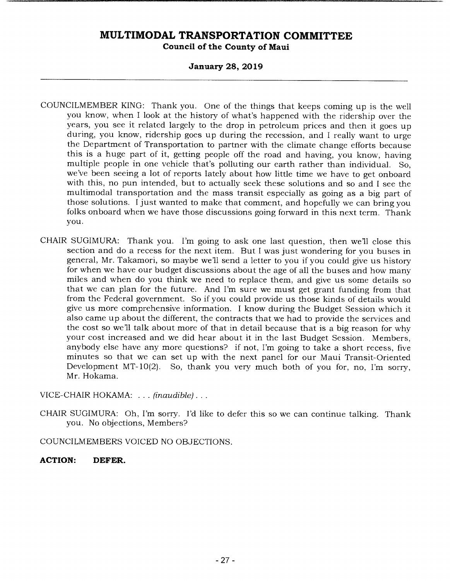### **January 28, 2019**

- COUNCILMEMBER KING: Thank you. One of the things that keeps coming up is the well you know, when I look at the history of what's happened with the ridership over the years, you see it related largely to the drop in petroleum prices and then it goes up during, you know, ridership goes up during the recession, and I really want to urge the Department of Transportation to partner with the climate change efforts because this is a huge part of it, getting people off the road and having, you know, having multiple people in one vehicle that's polluting our earth rather than individual. So, we've been seeing a lot of reports lately about how little time we have to get onboard with this, no pun intended, but to actually seek these solutions and so and I see the multimodal transportation and the mass transit especially as going as a big part of those solutions. I just wanted to make that comment, and hopefully we can bring you folks onboard when we have those discussions going forward in this next term. Thank you.
- CHAIR SUGIMURA: Thank you. I'm going to ask one last question, then we'll close this section and do a recess for the next item. But I was just wondering for you buses in general, Mr. Takamori, so maybe we'll send a letter to you if you could give us history for when we have our budget discussions about the age of all the buses and how many miles and when do you think we need to replace them, and give us some details so that we can plan for the future. And I'm sure we must get grant funding from that from the Federal government. So if you could provide us those kinds of details would give us more comprehensive information. I know during the Budget Session which it also came up about the different, the contracts that we had to provide the services and the cost so we'll talk about more of that in detail because that is a big reason for why your cost increased and we did hear about it in the last Budget Session. Members, anybody else have any more questions? if not, I'm going to take a short recess, five minutes so that we can set up with the next panel for our Maui Transit-Oriented Development MT-10(2). So, thank you very much both of you for, no, I'm sorry, Mr. Hokama.

#### VICE-CHAIR HOKAMA: . .. *(inaudible)...*

CHAIR SUGIMURA: Oh, I'm sorry. I'd like to defer this so we can continue talking. Thank you. No objections, Members?

COUNCILMEMBERS VOICED NO OBJECTIONS.

### **ACTION: DEFER.**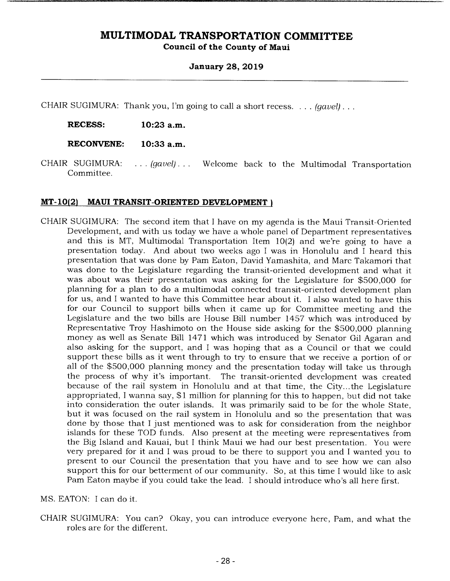#### **January 28, 2019**

CHAIR SUGIMURA: Thank you, I'm going to call a short recess. . . . *(gavel).* 

**RECESS: 10:23 a.m.** 

**RECONVENE: 10:33 a.m.** 

CHAIR SUGIMURA: . . . *(gavel). . .* Welcome back to the Multimodal Transportation Committee.

#### **MT-10(2) MAUI TRANSIT-ORIENTED DEVELOPMENT)**

CHAIR SUGIMURA: The second item that I have on my agenda is the Maui Transit-Oriented Development, and with us today we have a whole panel of Department representatives and this is MT, Multimodal Transportation Item 10(2) and we're going to have a presentation today. And about two weeks ago I was in Honolulu and I heard this presentation that was done by Pam Eaton, David Yamashita, and Marc Takamori that was done to the Legislature regarding the transit-oriented development and what it was about was their presentation was asking for the Legislature for \$500,000 for planning for a plan to do a multimodal connected transit-oriented development plan for us, and I wanted to have this Committee hear about it. I also wanted to have this for our Council to support bills when it came up for Committee meeting and the Legislature and the two bills are House Bill number 1457 which was introduced by Representative Troy Hashimoto on the House side asking for the \$500,000 planning money as well as Senate Bill 1471 which was introduced by Senator Gil Agaran and also asking for the support, and I was hoping that as a Council or that we could support these bills as it went through to try to ensure that we receive a portion of or all of the \$500,000 planning money and the presentation today will take us through the process of why it's important. The transit-oriented development was created because of the rail system in Honolulu and at that time, the City... the Legislature appropriated, I wanna say, \$1 million for planning for this to happen, but did not take into consideration the outer islands. It was primarily said to be for the whole State, but it was focused on the rail system in Honolulu and so the presentation that was done by those that I just mentioned was to ask for consideration from the neighbor islands for these TOD funds. Also present at the meeting were representatives from the Big Island and Kauai, but I think Maui we had our best presentation. You were very prepared for it and I was proud to be there to support you and I wanted you to present to our Council the presentation that you have and to see how we can also support this for our betterment of our community. So, at this time I would like to ask Pam Eaton maybe if you could take the lead. I should introduce who's all here first.

MS. EATON: I can do it.

CHAIR SUGIMURA: You can? Okay, you can introduce everyone here, Pam, and what the roles are for the different.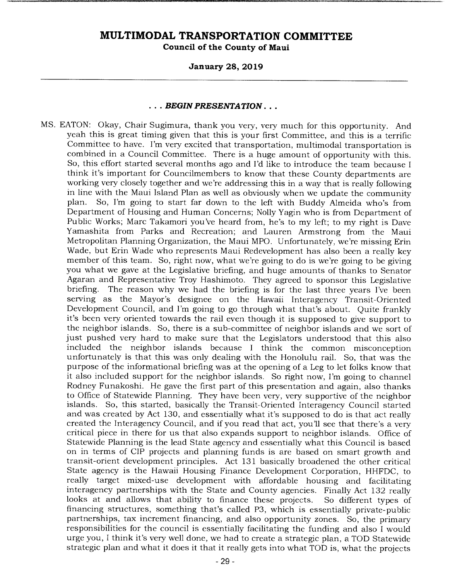#### *January 28, 2019*

#### ... *BEGIN PRESENTATION* ...

MS. EATON: Okay, Chair Sugimura, thank you very, very much for this opportunity. And yeah this is great timing given that this is your first Committee, and this is a terrific Committee to have. I'm very excited that transportation, multimodal transportation is combined in a Council Committee. There is a huge amount of opportunity with this. So, this effort started several months ago and I'd like to introduce the team because I think it's important for Councilmembers to know that these County departments are working very closely together and we're addressing this in a way that is really following in line with the Maui Island Plan as well as obviously when we update the community plan. So, I'm going to start far down to the left with Buddy Almeida who's from Department of Housing and Human Concerns; Nolly Yagin who is from Department of Public Works; Marc Takamori you've heard from, he's to my left; to my right is Dave Yamashita from Parks and Recreation; and Lauren Armstrong from the Maui Metropolitan Planning Organization, the Maui MPO. Unfortunately, we're missing Erin Wade, but Erin Wade who represents Maui Redevelopment has also been a really key member of this team. So, right now, what we're going to do is we're going to be giving you what we gave at the Legislative briefing, and huge amounts of thanks to Senator Agaran and Representative Troy Hashimoto. They agreed to sponsor this Legislative briefing. The reason why we had the briefing is for the last three years I've been serving as the Mayor's designee on the Hawaii Interagency Transit-Oriented Development Council, and I'm going to go through what that's about. Quite frankly it's been very oriented towards the rail even though it is supposed to give support to the neighbor islands. So, there is a sub-committee of neighbor islands and we sort of just pushed very hard to make sure that the Legislators understood that this also included the neighbor islands because I think the common misconception unfortunately is that this was only dealing with the Honolulu rail. So, that was the purpose of the informational briefing was at the opening of a Leg to let folks know that it also included support for the neighbor islands. So right now, I'm going to channel Rodney Funakoshi. He gave the first part of this presentation and again, also thanks to Office of Statewide Planning. They have been very, very supportive of the neighbor islands. So, this started, basically the Transit-Oriented Interagency Council started and was created by Act 130, and essentially what it's supposed to do is that act really created the Interagency Council, and if you read that act, you'll see that there's a very critical piece in there for us that also expands support to neighbor islands. Office of Statewide Planning is the lead State agency and essentially what this Council is based on in terms of CIP projects and planning funds is are based on smart growth and transit-orient development principles. Act 131 basically broadened the other critical State agency is the Hawaii Housing Finance Development Corporation, HHFDC, to really target mixed-use development with affordable housing and facilitating interagency partnerships with the State and County agencies. Finally Act 132 really looks at and allows that ability to finance these projects. So different types of financing structures, something that's called P3, which is essentially private-public partnerships, tax increment financing, and also opportunity zones. So, the primary responsibilities for the council is essentially facilitating the funding and also I would urge you, I think it's very well done, we had to create a strategic plan, a TOD Statewide strategic plan and what it does it that it really gets into what TOD is, what the projects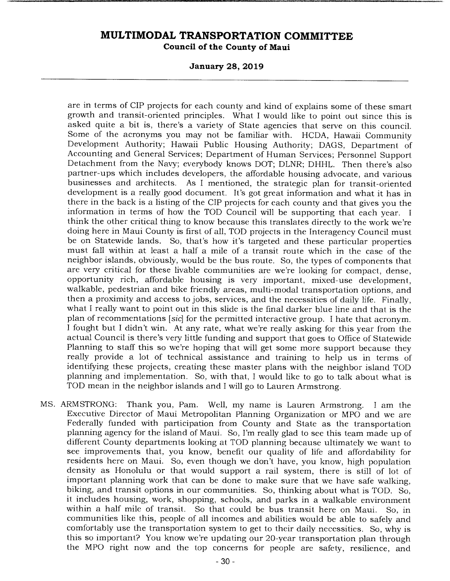**January 28, 2019** 

are in terms of CIP projects for each county and kind of explains some of these smart growth and transit-oriented principles. What I would like to point out since this is asked quite a bit is, there's a variety of State agencies that serve on this council. Some of the acronyms you may not be familiar with. HCDA, Hawaii Community Development Authority; Hawaii Public Housing Authority; DAGS, Department of Accounting and General Services; Department of Human Services; Personnel Support Detachment from the Navy; everybody knows DOT; DLNR; DHHL. Then there's also partner-ups which includes developers, the affordable housing advocate, and various businesses and architects. As I mentioned, the strategic plan for transit-oriented development is a really good document. It's got great information and what it has in there in the back is a listing of the CIP projects for each county and that gives you the information in terms of how the TOD Council will be supporting that each year. I think the other critical thing to know because this translates directly to the work we're doing here in Maui County is first of all, TOD projects in the Interagency Council must be on Statewide lands. So, that's how it's targeted and these particular properties must fall within at least a half a mile of a transit route which in the case of the neighbor islands, obviously, would be the bus route. So, the types of components that are very critical for these livable communities are we're looking for compact, dense, opportunity rich, affordable housing is very important, mixed-use development, walkable, pedestrian and bike friendly areas, multi-modal transportation options, and then a proximity and access to jobs, services, and the necessities of daily life. Finally, what I really want to point out in this slide is the final darker blue line and that is the plan of recommentations [sic] for the permitted interactive group. I hate that acronym. I fought but I didn't win. At any rate, what we're really asking for this year from the actual Council is there's very little funding and support that goes to Office of Statewide Planning to staff this so we're hoping that will get some more support because they really provide a lot of technical assistance and training to help us in terms of identifying these projects, creating these master plans with the neighbor island TOD planning and implementation. So, with that, I would like to go to talk about what is TOD mean in the neighbor islands and I will go to Lauren Armstrong.

MS. ARMSTRONG: Thank you, Pam. Well, my name is Lauren Armstrong. I am the Executive Director of Maui Metropolitan Planning Organization or MPO and we are Federally funded with participation from County and State as the transportation planning agency for the island of Maui. So, I'm really glad to see this team made up of different County departments looking at TOD planning because ultimately we want to see improvements that, you know, benefit our quality of life and affordability for residents here on Maui. So, even though we don't have, you know, high population density as Honolulu or that would support a rail system, there is still of lot of important planning work that can be done to make sure that we have safe walking, biking, and transit options in our communities. So, thinking about what is TOD. So, it includes housing, work, shopping, schools, and parks in a walkable environment within a half mile of transit. So that could be bus transit here on Maui. So, in communities like this, people of all incomes and abilities would be able to safely and comfortably use the transportation system to get to their daily necessities. So, why is this so important? You know we're updating our 20-year transportation plan through the MPO right now and the top concerns for people are safety, resilience, and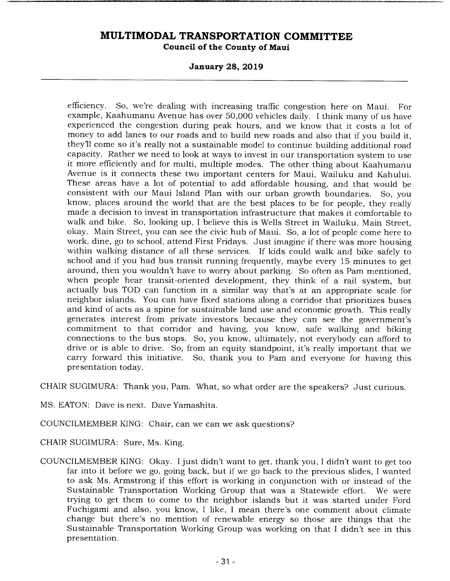**January 28, 2019** 

efficiency. So, we're dealing with increasing traffic congestion here on Maui. For example, Kaahumanu Avenue has over 50,000 vehicles daily. I think many of us have experienced the congestion during peak hours, and we know that it costs a lot of money to add lanes to our roads and to build new roads and also that if you build it, they'll come so it's really not a sustainable model to continue building additional road capacity. Rather we need to look at ways to invest in our transportation system to use it more efficiently and for multi, multiple modes. The other thing about Kaahumanu Avenue is it connects these two important centers for Maui, Wailuku and Kahului. These areas have a lot of potential to add affordable housing, and that would be consistent with our Maui Island Plan with our urban growth boundaries. So, you know, places around the world that are the best places to be for people, they really made a decision to invest in transportation infrastructure that makes it comfortable to walk and bike. So, looking up, I believe this is Wells Street in Wailuku, Main Street, okay. Main Street, you can see the civic hub of Maui. So, a lot of people come here to work, dine, go to school, attend First Fridays. Just imagine if there was more housing within walking distance of all these services. If kids could walk and bike safely to school and if you had bus transit running frequently, maybe every 15 minutes to get around, then you wouldn't have to worry about parking. So often as Pam mentioned, when people hear transit-oriented development, they think of a rail system, but actually bus TOD can function in a similar way that's at an appropriate scale for neighbor islands. You can have fixed stations along a corridor that prioritizes buses and kind of acts as a spine for sustainable land use and economic growth. This really generates interest from private investors because they can see the government's commitment to that corridor and having, you know, safe walking and biking connections to the bus stops. So, you know, ultimately, not everybody can afford to drive or is able to drive. So, from an equity standpoint, it's really important that we carry forward this initiative. So, thank you to Pam and everyone for having this presentation today.

CHAIR SUGIMURA: Thank you, Pam. What, so what order are the speakers? Just curious.

MS. EATON: Dave is next. Dave Yamashita.

COUNCILMEMBER KING: Chair, can we can we ask questions?

CHAIR SUGIMURA: Sure, Ms. King.

COUNCILMEMBER KING: Okay. I just didn't want to get, thank you, I didn't want to get too far into it before we go, going back, but if we go back to the previous slides, I wanted to ask Ms. Armstrong if this effort is working in conjunction with or instead of the Sustainable Transportation Working Group that was a Statewide effort. We were trying to get them to come to the neighbor islands but it was started under Ford Fuchigami and also, you know, I like, I mean there's one comment about climate change but there's no mention of renewable energy so those are things that the Sustainable Transportation Working Group was working on that I didn't see in this presentation.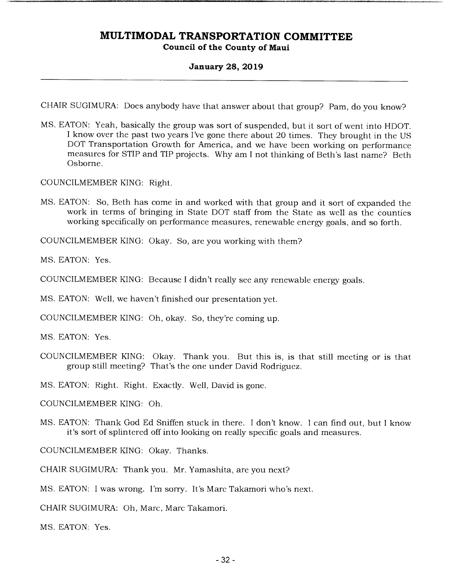### **January 28, 2019**

CHAIR SUGIMURA: Does anybody have that answer about that group? Pam, do you know?

MS. EATON: Yeah, basically the group was sort of suspended, but it sort of went into HDOT. I know over the past two years I've gone there about 20 times. They brought in the US DOT Transportation Growth for America, and we have been working on performance measures for STIP and TIP projects. Why am I not thinking of Beth's last name? Beth Osborne.

COUNCILMEMBER KING: Right.

MS. EATON: So, Beth has come in and worked with that group and it sort of expanded the work in terms of bringing in State DOT staff from the State as well as the counties working specifically on performance measures, renewable energy goals, and so forth.

COUNCILMEMBER KING: Okay. So, are you working with them?

MS. EATON: Yes.

COUNCILMEMBER KING: Because I didn't really see any renewable energy goals.

MS. EATON: Well, we haven't finished our presentation yet.

COUNCILMEMBER KING: Oh, okay. So, they're coming up.

MS. EATON: Yes.

COUNCILMEMBER KING: Okay. Thank you. But this is, is that still meeting or is that group still meeting? That's the one under David Rodriguez.

MS. EATON: Right. Right. Exactly. Well, David is gone.

COUNCILMEMBER KING: Oh.

MS. EATON: Thank God Ed Sniffen stuck in there. I don't know. I can find out, but I know it's sort of splintered off into looking on really specific goals and measures.

COUNCILMEMBER KING: Okay. Thanks.

CHAIR SUGIMURA: Thank you. Mr. Yamashita, are you next?

MS. EATON: I was wrong. I'm sorry. It's Marc Takamori who's next.

CHAIR SUGIMURA: Oh, Marc, Marc Takamori.

MS. EATON: Yes.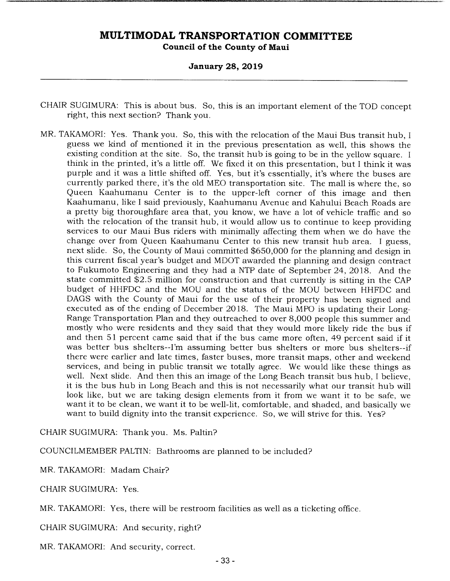#### **January 28, 2019**

- CHAIR SUGIMURA: This is about bus. So, this is an important element of the TOD concept right, this next section? Thank you.
- MR. TAKAMORI: Yes. Thank you. So, this with the relocation of the Maui Bus transit hub, I guess we kind of mentioned it in the previous presentation as well, this shows the existing condition at the site. So, the transit hub is going to be in the yellow square. I think in the printed, it's a little off. We fixed it on this presentation, but I think it was purple and it was a little shifted off. Yes, but it's essentially, it's where the buses are currently parked there, it's the old MEO transportation site. The mall is where the, so Queen Kaahumanu Center is to the upper-left corner of this image and then Kaahumanu, like I said previously, Kaahumanu Avenue and Kahului Beach Roads are a pretty big thoroughfare area that, you know, we have a lot of vehicle traffic and so with the relocation of the transit hub, it would allow us to continue to keep providing services to our Maui Bus riders with minimally affecting them when we do have the change over from Queen Kaahumanu Center to this new transit hub area. I guess, next slide. So, the County of Maui committed \$650,000 for the planning and design in this current fiscal year's budget and MDOT awarded the planning and design contract to Fukumoto Engineering and they had a NTP date of September 24, 2018. And the state committed \$2.5 million for construction and that currently is sitting in the CAP budget of HHFDC and the MOU and the status of the MOU between HHFDC and DAGS with the County of Maui for the use of their property has been signed and executed as of the ending of December 2018. The Maui MPO is updating their Long-Range Transportation Plan and they outreached to over 8,000 people this summer and mostly who were residents and they said that they would more likely ride the bus if and then 51 percent came said that if the bus came more often, 49 percent said if it was better bus shelters--I'm assuming better bus shelters or more bus shelters--if there were earlier and late times, faster buses, more transit maps, other and weekend services, and being in public transit we totally agree. We would like these things as well. Next slide. And then this an image of the Long Beach transit bus hub, I believe, it is the bus hub in Long Beach and this is not necessarily what our transit hub will look like, but we are taking design elements from it from we want it to be safe, we want it to be clean, we want it to be well-lit, comfortable, and shaded, and basically we want to build dignity into the transit experience. So, we will strive for this. Yes?

CHAIR SUGIMURA: Thank you. Ms. Paltin?

COUNCILMEMBER PALTIN: Bathrooms are planned to be included?

MR. TAKAMORI: Madam Chair?

CHAIR SUGIMURA: Yes.

MR. TAKAMORI: Yes, there will be restroom facilities as well as a ticketing office.

CHAIR SUGIMURA: And security, right?

MR. TAKAMORI: And security, correct.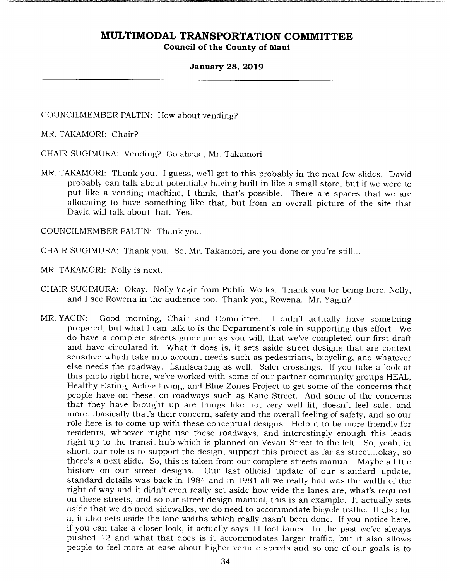#### **January 28, 2019**

COUNCILMEMBER PALTIN: How about vending?

MR. TAKAMORI: Chair?

CHAIR SUGIMURA: Vending? Go ahead, Mr. Takamori.

MR. TAKAMORI: Thank you. I guess, we'll get to this probably in the next few slides. David probably can talk about potentially having built in like a small store, but if we were to put like a vending machine, I think, that's possible. There are spaces that we are allocating to have something like that, but from an overall picture of the site that David will talk about that. Yes.

COUNCILMEMBER PALTIN: Thank you.

CHAIR SUGIMURA: Thank you. So, Mr. Takamori, are you done or you're still...

MR. TAKAMORI: Nolly is next.

- CHAIR SUGIMURA: Okay. Nolly Yagin from Public Works. Thank you for being here, Nolly, and I see Rowena in the audience too. Thank you, Rowena. Mr. Yagin?
- MR. YAGIN: Good morning, Chair and Committee. I didn't actually have something prepared, but what I can talk to is the Department's role in supporting this effort. We do have a complete streets guideline as you will, that we've completed our first draft and have circulated it. What it does is, it sets aside street designs that are context sensitive which take into account needs such as pedestrians, bicycling, and whatever else needs the roadway. Landscaping as well. Safer crossings. If you take a look at this photo right here, we've worked with some of our partner community groups HEAL, Healthy Eating, Active Living, and Blue Zones Project to get some of the concerns that people have on these, on roadways such as Kane Street. And some of the concerns that they have brought up are things like not very well lit, doesn't feel safe, and more... basically that's their concern, safety and the overall feeling of safety, and so our role here is to come up with these conceptual designs. Help it to be more friendly for residents, whoever might use these roadways, and interestingly enough this leads right up to the transit hub which is planned on Vevau Street to the left. So, yeah, in short, our role is to support the design, support this project as far as street... okay, so there's a next slide. So, this is taken from our complete streets manual. Maybe a little Our last official update of our standard update, standard details was back in 1984 and in 1984 all we really had was the width of the right of way and it didn't even really set aside how wide the lanes are, what's required on these streets, and so our street design manual, this is an example. It actually sets aside that we do need sidewalks, we do need to accommodate bicycle traffic. It also for a, it also sets aside the lane widths which really hasn't been done. If you notice here, if you can take a closer look, it actually says 11-foot lanes. In the past we've always pushed 12 and what that does is it accommodates larger traffic, but it also allows people to feel more at ease about higher vehicle speeds and so one of our goals is to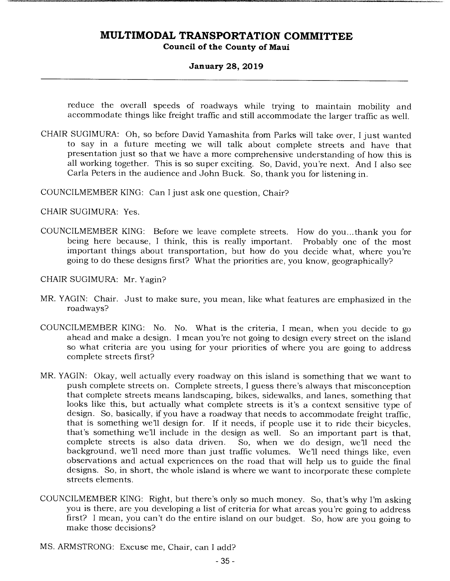#### **January 28, 2019**

reduce the overall speeds of roadways while trying to maintain mobility and accommodate things like freight traffic and still accommodate the larger traffic as well.

CHAIR SUGIMURA: Oh, so before David Yamashita from Parks will take over, I just wanted to say in a future meeting we will talk about complete streets and have that presentation just so that we have a more comprehensive understanding of how this is all working together. This is so super exciting. So, David, you're next. And I also see Carla Peters in the audience and John Buck. So, thank you for listening in.

COUNCILMEMBER KING: Can I just ask one question, Chair?

CHAIR SUGIMURA: Yes.

COUNCILMEMBER KING: Before we leave complete streets. How do you... thank you for being here because, I think, this is really important. Probably one of the most important things about transportation, but how do you decide what, where you're going to do these designs first? What the priorities are, you know, geographically?

CHAIR SUGIMURA: Mr. Yagin?

- MR. YAGIN: Chair. Just to make sure, you mean, like what features are emphasized in the roadways?
- COUNCILMEMBER KING: No. No. What is the criteria, I mean, when you decide to go ahead and make a design. I mean you're not going to design every street on the island so what criteria are you using for your priorities of where you are going to address complete streets first?
- MR. YAGIN: Okay, well actually every roadway on this island is something that we want to push complete streets on. Complete streets, I guess there's always that misconception that complete streets means landscaping, bikes, sidewalks, and lanes, something that looks like this, but actually what complete streets is it's a context sensitive type of design. So, basically, if you have a roadway that needs to accommodate freight traffic, that is something we'll design for. If it needs, if people use it to ride their bicycles, that's something we'll include in the design as well. So an important part is that, complete streets is also data driven. So, when we do design, we'll need the So, when we do design, we'll need the background, we'll need more than just traffic volumes. We'll need things like, even observations and actual experiences on the road that will help us to guide the final designs. So, in short, the whole island is where we want to incorporate these complete streets elements.
- COUNCILMEMBER KING: Right, but there's only so much money. So, that's why I'm asking you is there, are you developing a list of criteria for what areas you're going to address first? I mean, you can't do the entire island on our budget. So, how are you going to make those decisions?
- MS. ARMSTRONG: Excuse me, Chair, can I add?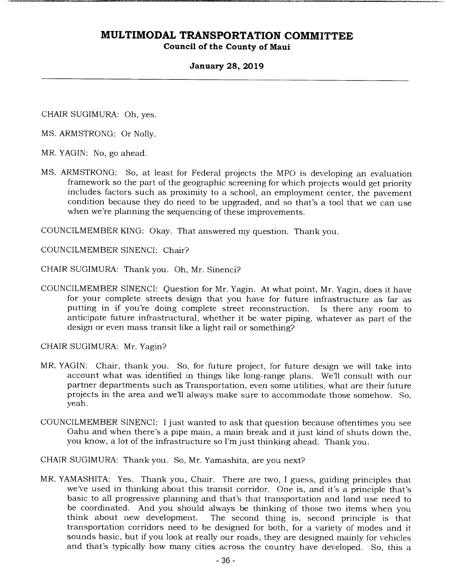### **January 28, 2019**

CHAIR SUGIMURA: Oh, yes.

MS. ARMSTRONG: Or Nolly.

- MR. YAGIN: No, go ahead.
- MS. ARMSTRONG: So, at least for Federal projects the MPO is developing an evaluation framework so the part of the geographic screening for which projects would get priority includes factors such as proximity to a school, an employment center, the pavement condition because they do need to be upgraded, and so that's a tool that we can use when we're planning the sequencing of these improvements.

COUNCILMEMBER KING: Okay. That answered my question. Thank you.

COUNCILMEMBER SINENCI: Chair?

CHAIR SUGIMURA: Thank you. Oh, Mr. Sinenci?

COUNCILMEMBER SINENCI: Question for Mr. Yagin. At what point, Mr. Yagin, does it have for your complete streets design that you have for future infrastructure as far as putting in if you're doing complete street reconstruction. Is there any room to anticipate future infrastructural, whether it be water piping, whatever as part of the design or even mass transit like a light rail or something?

CHAIR SUGIMURA: Mr. Yagin?

- MR. YAGIN: Chair, thank you. So, for future project, for future design we will take into account what was identified in things like long-range plans. We'll consult with our partner departments such as Transportation, even some utilities, what are their future projects in the area and well always make sure to accommodate those somehow. So, yeah.
- COUNCILMEMBER SINENCI: I just wanted to ask that question because oftentimes you see Oahu and when there's a pipe main, a main break and it just kind of shuts down the, you know, a lot of the infrastructure so I'm just thinking ahead. Thank you.

CHAIR SUGIMURA: Thank you. So, Mr. Yamashita, are you next?

MR. YAMASHITA: Yes. Thank you, Chair. There are two, I guess, guiding principles that we've used in thinking about this transit corridor. One is, and it's a principle that's basic to all progressive planning and that's that transportation and land use need to be coordinated. And you should always be thinking of those two items when you think about new development. The second thing is, second principle is that The second thing is, second principle is that transportation corridors need to be designed for both, for a variety of modes and it sounds basic, but if you look at really our roads, they are designed mainly for vehicles and that's typically how many cities across the country have developed. So, this a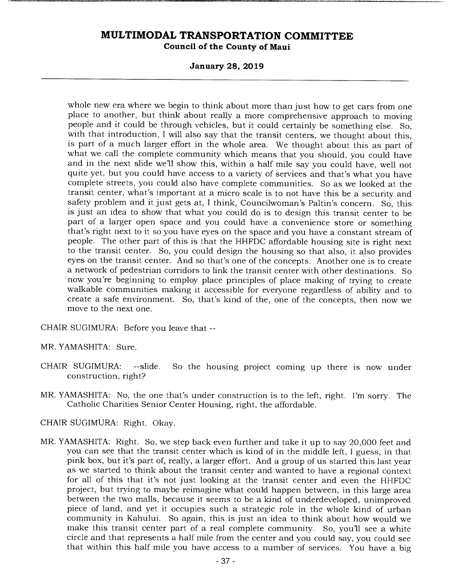**January 28, 2019** 

whole new era where we begin to think about more than just how to get cars from one place to another, but think about really a more comprehensive approach to moving people and it could be through vehicles, but it could certainly be something else. So, with that introduction, I will also say that the transit centers, we thought about this, is part of a much larger effort in the whole area. We thought about this as part of what we call the complete community which means that you should, you could have and in the next slide we'll show this, within a half mile say you could have, well not quite yet, but you could have access to a variety of services and that's what you have complete streets, you could also have complete communities. So as we looked at the transit center, what's important at a micro scale is to not have this be a security and safety problem and it just gets at, I think, Councilwoman's Paltin's concern. So, this is just an idea to show that what you could do is to design this transit center to be part of a larger open space and you could have a convenience store or something that's right next to it so you have eyes on the space and you have a constant stream of people. The other part of this is that the HHFDC affordable housing site is right next to the transit center. So, you could design the housing so that also, it also provides eyes on the transit center. And so that's one of the concepts. Another one is to create a network of pedestrian corridors to link the transit center with other destinations. So now you're beginning to employ place principles of place making of trying to create walkable communities making it accessible for everyone regardless of ability and to create a safe environment. So, that's kind of the, one of the concepts, then now we move to the next one.

CHAIR SUGIMURA: Before you leave that --

MR. YAMASHITA: Sure.

- CHAIR SUGIMURA: --slide. So the housing project coming up there is now under construction, right?
- MR. YAMASHITA: No, the one that's under construction is to the left, right. I'm sorry. The Catholic Charities Senior Center Housing, right, the affordable.

CHAIR SUGIMURA: Right. Okay.

MR. YAMASHITA: Right. So, we step back even further and take it up to say 20,000 feet and you can see that the transit center which is kind of in the middle left, I guess, in that pink box, but it's part of, really, a larger effort. And a group of us started this last year as we started to think about the transit center and wanted to have a regional context for all of this that it's not just looking at the transit center and even the HHFDC project, but trying to maybe reimagine what could happen between, in this large area between the two malls, because it seems to be a kind of underdeveloped, unimproved piece of land, and yet it occupies such a strategic role in the whole kind of urban community in Kahului. So again, this is just an idea to think about how would we make this transit center part of a real complete community. So, you'll see a white circle and that represents a half mile from the center and you could say, you could see that within this half mile you have access to a number of services. You have a big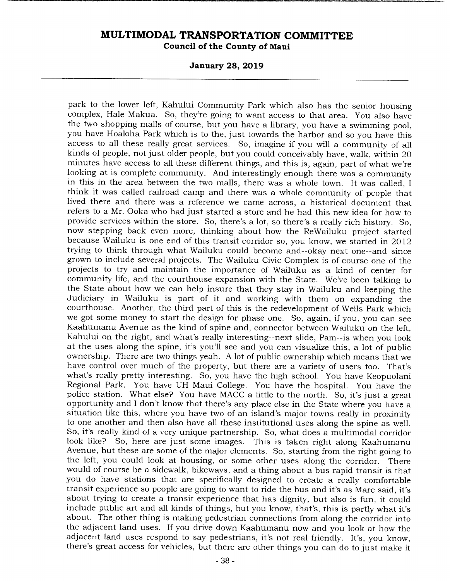**January 28, 2019** 

park to the lower left, Kahului Community Park which also has the senior housing complex, Hale Makua. So, they're going to want access to that area. You also have the two shopping malls of course, but you have a library, you have a swimming pool, you have Hoaloha Park which is to the, just towards the harbor and so you have this access to all these really great services. So, imagine if you will a community of all kinds of people, not just older people, but you could conceivably have, walk, within 20 minutes have access to all these different things, and this is, again, part of what we're looking at is complete community. And interestingly enough there was a community in this in the area between the two malls, there was a whole town. It was called, I think it was called railroad camp and there was a whole community of people that lived there and there was a reference we came across, a historical document that refers to a Mr. Ooka who had just started a store and he had this new idea for how to provide services within the store. So, there's a lot, so there's a really rich history. So, now stepping back even more, thinking about how the ReWailuku project started because Wailuku is one end of this transit corridor so, you know, we started in 2012 trying to think through what Wailuku could become and--okay next one--and since grown to include several projects. The Wailuku Civic Complex is of course one of the projects to try and maintain the importance of Wailuku as a kind of center for community life, and the courthouse expansion with the State. We've been talking to the State about how we can help insure that they stay in Wailuku and keeping the Judiciary in Wailuku is part of it and working with them on expanding the courthouse. Another, the third part of this is the redevelopment of Wells Park which we got some money to start the design for phase one. So, again, if you, you can see Kaahumanu Avenue as the kind of spine and, connector between Wailuku on the left, Kahului on the right, and what's really interesting--next slide, Pam--is when you look at the uses along the spine, it's you'll see and you can visualize this, a lot of public ownership. There are two things yeah. A lot of public ownership which means that we have control over much of the property, but there are a variety of users too. That's what's really pretty interesting. So, you have the high school. You have Keopuolani Regional Park. You have UH Maui College. You have the hospital. You have the police station. What else? You have MACC a little to the north. So, it's just a great opportunity and I don't know that there's any place else in the State where you have a situation like this, where you have two of an island's major towns really in proximity to one another and then also have all these institutional uses along the spine as well. So, it's really kind of a very unique partnership. So, what does a multimodal corridor look like? So, here are just some images. This is taken right along Kaahumanu Avenue, but these are some of the major elements. So, starting from the right going to the left, you could look at housing, or some other uses along the corridor. There would of course be a sidewalk, bikeways, and a thing about a bus rapid transit is that you do have stations that are specifically designed to create a really comfortable transit experience so people are going to want to ride the bus and it's as Marc said, it's about trying to create a transit experience that has dignity, but also is fun, it could include public art and all kinds of things, but you know, that's, this is partly what it's about. The other thing is making pedestrian connections from along the corridor into the adjacent land uses. If you drive down Kaahumanu now and you look at how the adjacent land uses respond to say pedestrians, it's not real friendly. It's, you know, there's great access for vehicles, but there are other things you can do to just make it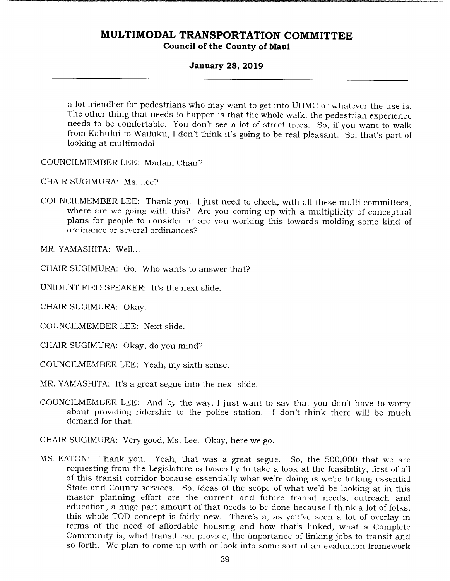### **January 28, 2019**

a lot friendlier for pedestrians who may want to get into UHMC or whatever the use is. The other thing that needs to happen is that the whole walk, the pedestrian experience needs to be comfortable. You don't see a lot of street trees. So, if you want to walk from Kahului to Wailuku, I don't think it's going to be real pleasant. So, that's part of looking at multimodal.

COUNCILMEMBER LEE: Madam Chair?

CHAIR SUGIMURA: Ms. Lee?

COUNCILMEMBER LEE: Thank you. I just need to check, with all these multi committees, where are we going with this? Are you coming up with a multiplicity of conceptual plans for people to consider or are you working this towards molding some kind of ordinance or several ordinances?

MR. YAMASHITA: Well...

CHAIR SUGIMURA: Go. Who wants to answer that?

UNIDENTIFIED SPEAKER: It's the next slide.

CHAIR SUGIMURA: Okay.

COUNCILMEMBER LEE: Next slide.

CHAIR SUGIMURA: Okay, do you mind?

COUNCILMEMBER LEE: Yeah, my sixth sense.

MR. YAMASHITA: It's a great segue into the next slide.

COUNCILMEMBER LEE: And by the way, I just want to say that you don't have to worry about providing ridership to the police station. I don't think there will be much demand for that.

CHAIR SUGIMURA: Very good, Ms. Lee. Okay, here we go.

MS. EATON: Thank you. Yeah, that was a great segue. So, the 500,000 that we are requesting from the Legislature is basically to take a look at the feasibility, first of all of this transit corridor because essentially what we're doing is we're linking essential State and County services. So, ideas of the scope of what we'd be looking at in this master planning effort are the current and future transit needs, outreach and education, a huge part amount of that needs to be done because I think a lot of folks, this whole TOD concept is fairly new. There's a, as you've seen a lot of overlay in terms of the need of affordable housing and how that's linked, what a Complete Community is, what transit can provide, the importance of linking jobs to transit and so forth. We plan to come up with or look into some sort of an evaluation framework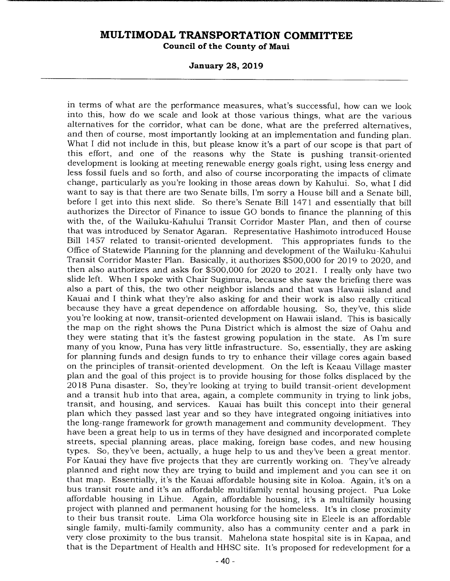**January 28, 2019** 

in terms of what are the performance measures, what's successful, how can we look into this, how do we scale and look at those various things, what are the various alternatives for the corridor, what can be done, what are the preferred alternatives, and then of course, most importantly looking at an implementation and funding plan. What I did not include in this, but please know it's a part of our scope is that part of this effort, and one of the reasons why the State is pushing transit-oriented development is looking at meeting renewable energy goals right, using less energy and less fossil fuels and so forth, and also of course incorporating the impacts of climate change, particularly as you're looking in those areas down by Kahului. So, what I did want to say is that there are two Senate bills, I'm sorry a House bill and a Senate bill, before I get into this next slide. So there's Senate Bill 1471 and essentially that bill authorizes the Director of Finance to issue GO bonds to finance the planning of this with the, of the Wailuku-Kahului Transit Corridor Master Plan, and then of course that was introduced by Senator Agaran. Representative Hashimoto introduced House Bill 1457 related to transit-oriented development. This appropriates funds to the Office of Statewide Planning for the planning and development of the Wailuku-Kahului Transit Corridor Master Plan. Basically, it authorizes \$500,000 for 2019 to 2020, and then also authorizes and asks for \$500,000 for 2020 to 2021. I really only have two slide left. When I spoke with Chair Sugimura, because she saw the briefing there was also a part of this, the two other neighbor islands and that was Hawaii island and Kauai and I think what they're also asking for and their work is also really critical because they have a great dependence on affordable housing. So, they've, this slide you're looking at now, transit-oriented development on Hawaii island. This is basically the map on the right shows the Puna District which is almost the size of Oahu and they were stating that it's the fastest growing population in the state. As I'm sure many of you know, Puna has very little infrastructure. So, essentially, they are asking for planning funds and design funds to try to enhance their village cores again based on the principles of transit-oriented development. On the left is Keaau Village master plan and the goal of this project is to provide housing for those folks displaced by the 2018 Puna disaster. So, they're looking at trying to build transit-orient development and a transit hub into that area, again, a complete community in trying to link jobs, transit, and housing, and services. Kauai has built this concept into their general plan which they passed last year and so they have integrated ongoing initiatives into the long-range framework for growth management and community development. They have been a great help to us in terms of they have designed and incorporated complete streets, special planning areas, place making, foreign base codes, and new housing types. So, they've been, actually, a huge help to us and they've been a great mentor. For Kauai they have five projects that they are currently working on. They've already planned and right now they are trying to build and implement and you can see it on that map. Essentially, it's the Kauai affordable housing site in Koloa. Again, it's on a bus transit route and it's an affordable multifamily rental housing project. Pua Loke affordable housing in Lihue. Again, affordable housing, it's a multifamily housing project with planned and permanent housing for the homeless. It's in close proximity to their bus transit route. Lima Ola workforce housing site in Eleele is an affordable single family, multi-family community, also has a community center and a park in very close proximity to the bus transit. Mahelona state hospital site is in Kapaa, and that is the Department of Health and HHSC site. It's proposed for redevelopment for a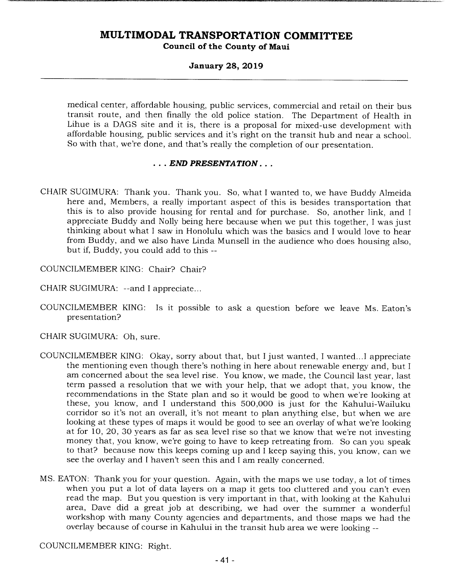#### **January 28, 2019**

medical center, affordable housing, public services, commercial and retail on their bus transit route, and then finally the old police station. The Department of Health in Lihue is a DAGS site and it is, there is a proposal for mixed-use development with affordable housing, public services and it's right on the transit hub and near a school. So with that, we're done, and that's really the completion of our presentation.

### *END PRESENTATION...*

- CHAIR SUGIMURA: Thank you. Thank you. So, what I wanted to, we have Buddy Almeida here and, Members, a really important aspect of this is besides transportation that this is to also provide housing for rental and for purchase. So, another link, and I appreciate Buddy and Nolly being here because when we put this together, I was just thinking about what I saw in Honolulu which was the basics and I would love to hear from Buddy, and we also have Linda Munsell in the audience who does housing also, but if, Buddy, you could add to this --
- COUNCILMEMBER KING: Chair? Chair?
- CHAIR SUGIMURA: --and I appreciate...
- COUNCILMEMBER KING: Is it possible to ask a question before we leave Ms. Eaton's presentation?
- CHAIR SUGIMURA: Oh, sure.
- COUNCILMEMBER KING: Okay, sorry about that, but I just wanted, I wanted... I appreciate the mentioning even though there's nothing in here about renewable energy and, but I am concerned about the sea level rise. You know, we made, the Council last year, last term passed a resolution that we with your help, that we adopt that, you know, the recommendations in the State plan and so it would be good to when we're looking at these, you know, and I understand this 500,000 is just for the Kahului-Wailuku corridor so it's not an overall, it's not meant to plan anything else, but when we are looking at these types of maps it would be good to see an overlay of what we're looking at for 10, 20, 30 years as far as sea level rise so that we know that we're not investing money that, you know, we're going to have to keep retreating from. So can you speak to that? because now this keeps coming up and I keep saying this, you know, can we see the overlay and I haven't seen this and I am really concerned.
- MS. EATON: Thank you for your question. Again, with the maps we use today, a lot of times when you put a lot of data layers on a map it gets too cluttered and you can't even read the map. But you question is very important in that, with looking at the Kahului area, Dave did a great job at describing, we had over the summer a wonderful workshop with many County agencies and departments, and those maps we had the overlay because of course in Kahului in the transit hub area we were looking --

COUNCILMEMBER KING: Right.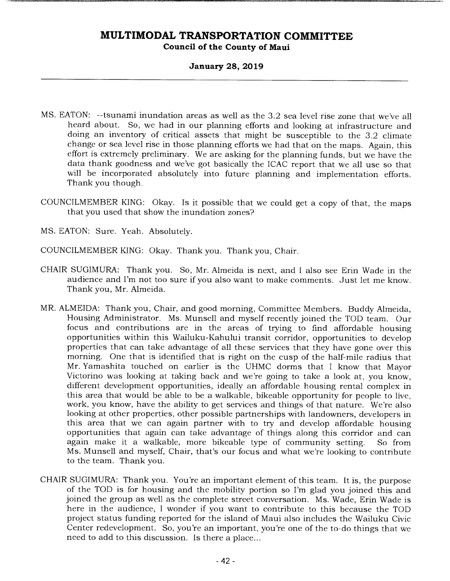### **January 28, 2019**

- MS. EATON: --tsunami inundation areas as well as the 3.2 sea level rise zone that we've all heard about. So, we had in our planning efforts and looking at infrastructure and doing an inventory of critical assets that might be susceptible to the 3.2 climate change or sea level rise in those planning efforts we had that on the maps. Again, this effort is extremely preliminary. We are asking for the planning funds, but we have the data thank goodness and we've got basically the ICAC report that we all use so that will be incorporated absolutely into future planning and implementation efforts. Thank you though.
- COUNCILMEMBER KING: Okay. Is it possible that we could get a copy of that, the maps that you used that show the inundation zones?
- MS. EATON: Sure. Yeah. Absolutely.
- COUNCILMEMBER KING: Okay. Thank you. Thank you, Chair.
- CHAIR SUGIMURA: Thank you. So, Mr. Almeida is next, and I also see Erin Wade in the audience and I'm not too sure if you also want to make comments. Just let me know. Thank you, Mr. Almeida.
- MR. ALMEIDA: Thank you, Chair, and good morning, Committee Members. Buddy Almeida, Housing Administrator. Ms. Munsell and myself recently joined the TOD team. Our focus and contributions are in the areas of trying to find affordable housing opportunities within this Wailuku-Kahului transit corridor, opportunities to develop properties that can take advantage of all these services that they have gone over this morning. One that is identified that is right on the cusp of the half-mile radius that Mr. Yamashita touched on earlier is the UHMC dorms that I know that Mayor Victorino was looking at taking back and we're going to take a look at, you know, different development opportunities, ideally an affordable housing rental complex in this area that would be able to be a walkable, bikeable opportunity for people to live, work, you know, have the ability to get services and things of that nature. We're also looking at other properties, other possible partnerships with landowners, developers in this area that we can again partner with to try and develop affordable housing opportunities that again can take advantage of things along this corridor and can again make it a walkable, more bikeable type of community setting. So from Ms. Munsell and myself, Chair, that's our focus and what we're looking to contribute to the team. Thank you.
- CHAIR SUGIMURA: Thank you. You're an important element of this team. It is, the purpose of the TOD is for housing and the mobility portion so I'm glad you joined this and joined the group as well as the complete street conversation. Ms. Wade, Erin Wade is here in the audience, I wonder if you want to contribute to this because the TOD project status funding reported for the island of Maui also includes the Wailuku Civic Center redevelopment. So, you're an important, you're one of the to-do things that we need to add to this discussion. Is there a place...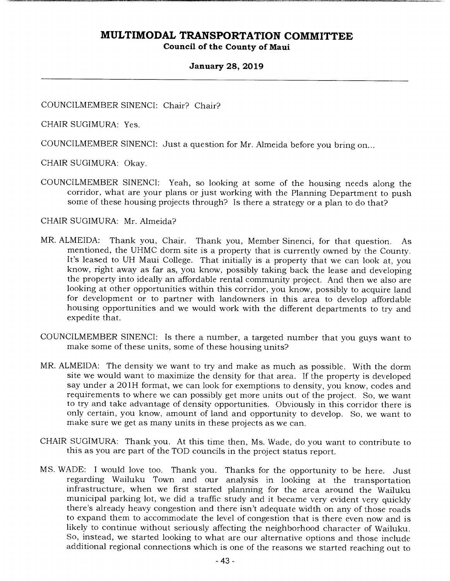### **January 28, 2019**

COUNCILMEMBER SINENCI: Chair? Chair?

CHAIR SUGIMURA: Yes.

COUNCILMEMBER SINENCI: Just a question for Mr. Almeida before you bring on...

CHAIR SUGIMURA: Okay.

COUNCILMEMBER SINENCI: Yeah, so looking at some of the housing needs along the corridor, what are your plans or just working with the Planning Department to push some of these housing projects through? Is there a strategy or a plan to do that?

#### CHAIR SUGIMURA: Mr. Almeida?

- MR. ALMEIDA: Thank you, Chair. Thank you, Member Sinenci, for that question. As mentioned, the UHMC dorm site is a property that is currently owned by the County. It's leased to UH Maui College. That initially is a property that we can look at, you know, right away as far as, you know, possibly taking back the lease and developing the property into ideally an affordable rental community project. And then we also are looking at other opportunities within this corridor, you know, possibly to acquire land for development or to partner with landowners in this area to develop affordable housing opportunities and we would work with the different departments to try and expedite that.
- COUNCILMEMBER SINENCI: Is there a number, a targeted number that you guys want to make some of these units, some of these housing units?
- MR. ALMEIDA: The density we want to try and make as much as possible. With the dorm site we would want to maximize the density for that area. If the property is developed say under a 20 1H format, we can look for exemptions to density, you know, codes and requirements to where we can possibly get more units out of the project. So, we want to try and take advantage of density opportunities. Obviously in this corridor there is only certain, you know, amount of land and opportunity to develop. So, we want to make sure we get as many units in these projects as we can.
- CHAIR SUGIMURA: Thank you. At this time then, Ms. Wade, do you want to contribute to this as you are part of the TOD councils in the project status report.
- MS. WADE: I would love too. Thank you. Thanks for the opportunity to be here. Just regarding Wailuku Town and our analysis in looking at the transportation infrastructure, when we first started planning for the area around the Wailuku municipal parking lot, we did a traffic study and it became very evident very quickly there's already heavy congestion and there isn't adequate width on any of those roads to expand them to accommodate the level of congestion that is there even now and is likely to continue without seriously affecting the neighborhood character of Wailuku. So, instead, we started looking to what are our alternative options and those include additional regional connections which is one of the reasons we started reaching out to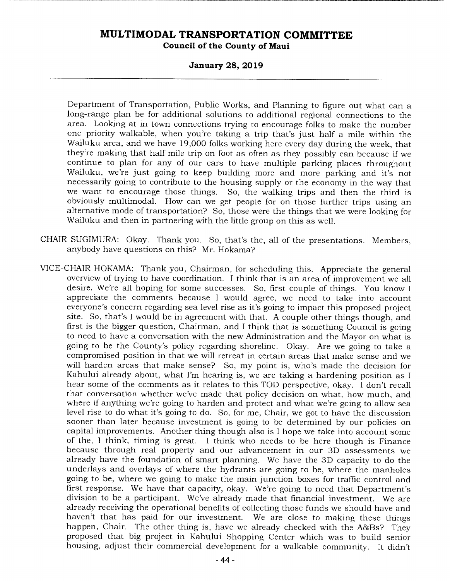### **January 28, 2019**

Department of Transportation, Public Works, and Planning to figure out what can a long-range plan be for additional solutions to additional regional connections to the area. Looking at in town connections trying to encourage folks to make the number one priority walkable, when you're taking a trip that's just half a mile within the Wailuku area, and we have 19,000 folks working here every day during the week, that they're making that half mile trip on foot as often as they possibly can because if we continue to plan for any of our cars to have multiple parking places throughout Wailuku, we're just going to keep building more and more parking and it's not necessarily going to contribute to the housing supply or the economy in the way that we want to encourage those things. So, the walking trips and then the third is obviously multimodal. How can we get people for on those further trips using an alternative mode of transportation? So, those were the things that we were looking for Wailuku and then in partnering with the little group on this as well.

- CHAIR SUGIMURA: Okay. Thank you. So, that's the, all of the presentations. Members, anybody have questions on this? Mr. Hokama?
- VICE-CHAIR HOKAMA: Thank you, Chairman, for scheduling this. Appreciate the general overview of trying to have coordination. I think that is an area of improvement we all desire. We're all hoping for some successes. So, first couple of things. You know I appreciate the comments because I would agree, we need to take into account everyone's concern regarding sea level rise as it's going to impact this proposed project site. So, that's I would be in agreement with that. A couple other things though, and first is the bigger question, Chairman, and I think that is something Council is going to need to have a conversation with the new Administration and the Mayor on what is going to be the County's policy regarding shoreline. Okay. Are we going to take a compromised position in that we will retreat in certain areas that make sense and we will harden areas that make sense? So, my point is, who's made the decision for Kahului already about, what I'm hearing is, we are taking a hardening position as I hear some of the comments as it relates to this TOD perspective, okay. I don't recall that conversation whether we've made that policy decision on what, how much, and where if anything we're going to harden and protect and what we're going to allow sea level rise to do what it's going to do. So, for me, Chair, we got to have the discussion sooner than later because investment is going to be determined by our policies on capital improvements. Another thing though also is I hope we take into account some of the, I think, timing is great. I think who needs to be here though is Finance because through real property and our advancement in our 3D assessments we already have the foundation of smart planning. We have the 3D capacity to do the underlays and overlays of where the hydrants are going to be, where the manholes going to be, where we going to make the main junction boxes for traffic control and first response. We have that capacity, okay. We're going to need that Department's division to be a participant. We've already made that financial investment. We are already receiving the operational benefits of collecting those funds we should have and haven't that has paid for our investment. We are close to making these things happen, Chair. The other thing is, have we already checked with the A&Bs? They proposed that big project in Kahului Shopping Center which was to build senior housing, adjust their commercial development for a walkable community. It didn't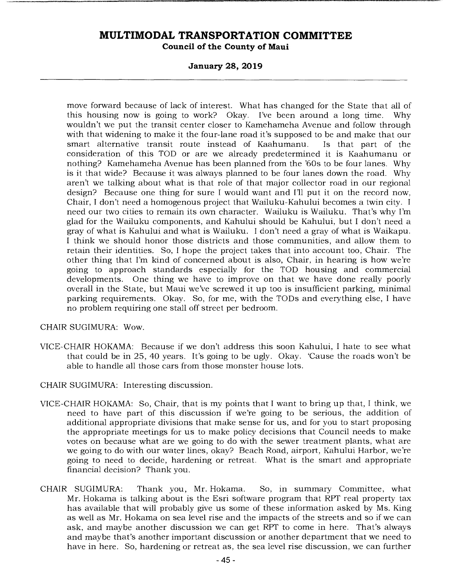#### **January 28, 2019**

move forward because of lack of interest. What has changed for the State that all of this housing now is going to work? Okay. I've been around a long time. Why wouldn't we put the transit center closer to Kamehameha Avenue and follow through with that widening to make it the four-lane road it's supposed to be and make that our smart alternative transit route instead of Kaahumanu. Is that part of the consideration of this TOD or are we already predetermined it is Kaahumanu or nothing? Kamehameha Avenue has been planned from the '60s to be four lanes. Why is it that wide? Because it was always planned to be four lanes down the road. Why aren't we talking about what is that role of that major collector road in our regional design? Because one thing for sure I would want and I'll put it on the record now, Chair, I don't need a homogenous project that Wailuku-Kahului becomes a twin city. I need our two cities to remain its own character. Wailuku is Wailuku. That's why I'm glad for the Wailuku components, and Kahului should be Kahului, but I don't need a gray of what is Kahului and what is Wailuku. I don't need a gray of what is Waikapu. I think we should honor those districts and those communities, and allow them to retain their identities. So, I hope the project takes that into account too, Chair. The other thing that I'm kind of concerned about is also, Chair, in hearing is how we're going to approach standards especially for the TOD housing and commercial developments. One thing we have to improve on that we have done really poorly overall in the State, but Maui we've screwed it up too is insufficient parking, minimal parking requirements. Okay. So, for me, with the TODs and everything else, I have no problem requiring one stall off street per bedroom.

CHAIR SUGIMURA: Wow.

- VICE-CHAIR HOKAMA: Because if we don't address this soon Kahului, I hate to see what that could be in 25, 40 years. It's going to be ugly. Okay. 'Cause the roads won't be able to handle all those cars from those monster house lots.
- CHAIR SUGIMURA: Interesting discussion.
- VICE-CHAIR HOKAMA: So, Chair, that is my points that I want to bring up that, I think, we need to have part of this discussion if we're going to be serious, the addition of additional appropriate divisions that make sense for us, and for you to start proposing the appropriate meetings for us to make policy decisions that Council needs to make votes on because what are we going to do with the sewer treatment plants, what are we going to do with our water lines, okay? Beach Road, airport, Kahului Harbor, we're going to need to decide, hardening or retreat. What is the smart and appropriate financial decision? Thank you.
- CHAIR SUGIMURA: Thank you, Mr. Hokama. So, in summary Committee, what Mr. Hokama is talking about is the Esri software program that RPT real property tax has available that will probably give us some of these information asked by Ms. King as well as Mr. Hokama on sea level rise and the impacts of the streets and so if we can ask, and maybe another discussion we can get RPT to come in here. That's always and maybe that's another important discussion or another department that we need to have in here. So, hardening or retreat as, the sea level rise discussion, we can further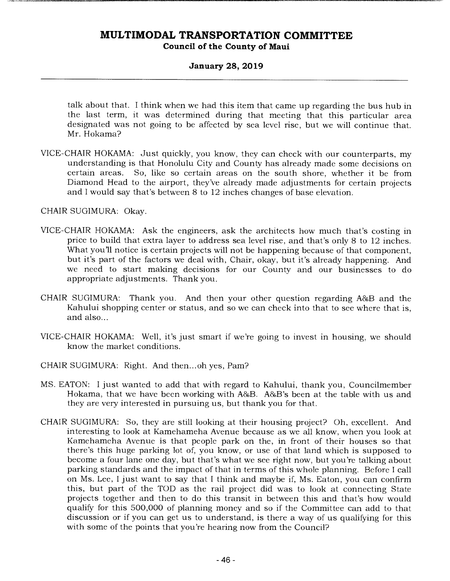### **January 28, 2019**

talk about that. I think when we had this item that came up regarding the bus hub in the last term, it was determined during that meeting that this particular area designated was not going to be affected by sea level rise, but we will continue that. Mr. Hokama?

VICE-CHAIR HOKAMA: Just quickly, you know, they can check with our counterparts, my understanding is that Honolulu City and County has already made some decisions on certain areas. So, like so certain areas on the south shore, whether it be from Diamond Head to the airport, they've already made adjustments for certain projects and I would say that's between 8 to 12 inches changes of base elevation.

CHAIR SUGIMURA: Okay.

- VICE-CHAIR HOKAMA: Ask the engineers, ask the architects how much that's costing in price to build that extra layer to address sea level rise, and that's only 8 to 12 inches. What you'll notice is certain projects will not be happening because of that component, but it's part of the factors we deal with, Chair, okay, but it's already happening. And we need to start making decisions for our County and our businesses to do appropriate adjustments. Thank you.
- CHAIR SUGIMURA: Thank you. And then your other question regarding A&B and the Kahului shopping center or status, and so we can check into that to see where that is, and also...
- VICE-CHAIR HOKAMA: Well, it's just smart if we're going to invest in housing, we should know the market conditions.
- CHAIR SUGIMURA: Right. And then... oh yes, Pam?
- MS. EATON: I just wanted to add that with regard to Kahului, thank you, Councilmember Hokama, that we have been working with A&B. A&B's been at the table with us and they are very interested in pursuing us, but thank you for that.
- CHAIR SUGIMURA: So, they are still looking at their housing project? Oh, excellent. And interesting to look at Kamehameha Avenue because as we all know, when you look at Kamehameha Avenue is that people park on the, in front of their houses so that there's this huge parking lot of, you know, or use of that land which is supposed to become a four lane one day, but that's what we see right now, but you're talking about parking standards and the impact of that in terms of this whole planning. Before I call on Ms. Lee, I just want to say that I think and maybe if, Ms. Eaton, you can confirm this, but part of the TOD as the rail project did was to look at connecting State projects together and then to do this transit in between this and that's how would qualify for this 500,000 of planning money and so if the Committee can add to that discussion or if you can get us to understand, is there a way of us qualifying for this with some of the points that you're hearing now from the Council?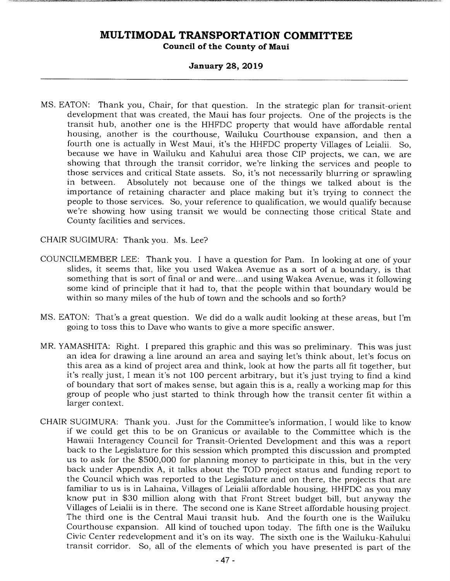#### **January 28, 2019**

MS. EATON: Thank you, Chair, for that question. In the strategic plan for transit-orient development that was created, the Maui has four projects. One of the projects is the transit hub, another one is the HHFDC property that would have affordable rental housing, another is the courthouse, Wailuku Courthouse expansion, and then a fourth one is actually in West Maui, it's the HHFDC property Villages of Leialii. So, because we have in Wailuku and Kahului area those CIP projects, we can, we are showing that through the transit corridor, we're linking the services and people to those services and critical State assets. So, it's not necessarily blurring or sprawling<br>in between. Absolutely not because one of the things we talked about is the Absolutely not because one of the things we talked about is the importance of retaining character and place making but it's trying to connect the people to those services. So, your reference to qualification, we would qualify because we're showing how using transit we would be connecting those critical State and County facilities and services.

CHAIR SUGIMURA: Thank you. Ms. Lee?

- COUNCILMEMBER LEE: Thank you. I have a question for Pam. In looking at one of your slides, it seems that, like you used Wakea Avenue as a sort of a boundary, is that something that is sort of final or and were... and using Wakea Avenue, was it following some kind of principle that it had to, that the people within that boundary would be within so many miles of the hub of town and the schools and so forth?
- MS. EATON: That's a great question. We did do a walk audit looking at these areas, but I'm going to toss this to Dave who wants to give a more specific answer.
- MR. YAMASHITA: Right. I prepared this graphic and this was so preliminary. This was just an idea for drawing a line around an area and saying let's think about, let's focus on this area as a kind of project area and think, look at how the parts all fit together, but it's really just, I mean it's not 100 percent arbitrary, but it's just trying to find a kind of boundary that sort of makes sense, but again this is a, really a working map for this group of people who just started to think through how the transit center fit within a larger context.
- CHAIR SUGIMURA: Thank you. Just for the Committee's information, I would like to know if we could get this to be on Granicus or available to the Committee which is the Hawaii Interagency Council for Transit-Oriented Development and this was a report back to the Legislature for this session which prompted this discussion and prompted us to ask for the \$500,000 for planning money to participate in this, but in the very back under Appendix A, it talks about the TOD project status and funding report to the Council which was reported to the Legislature and on there, the projects that are familiar to us is in Lahaina, Villages of Leialii affordable housing, HHFDC as you may know put in \$30 million along with that Front Street budget bill, but anyway the Villages of Leialii is in there. The second one is Kane Street affordable housing project. The third one is the Central Maui transit hub. And the fourth one is the Wailuku Courthouse expansion. All kind of touched upon today. The fifth one is the Wailuku Civic Center redevelopment and it's on its way. The sixth one is the Wailuku-Kahului transit corridor. So, all of the elements of which you have presented is part of the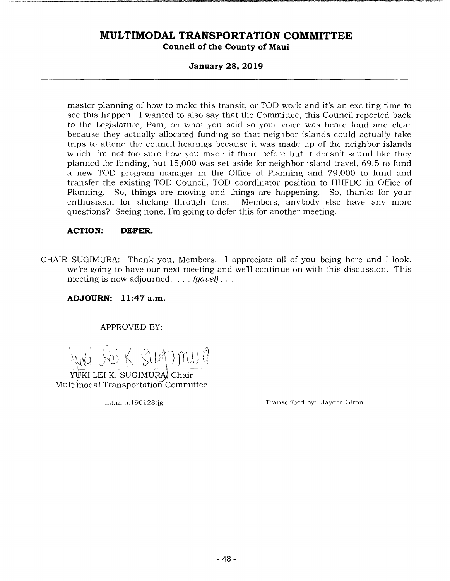#### **January 28, 2019**

master planning of how to make this transit, or TOD work and it's an exciting time to see this happen. I wanted to also say that the Committee, this Council reported back to the Legislature, Pam, on what you said so your voice was heard loud and clear because they actually allocated funding so that neighbor islands could actually take trips to attend the council hearings because it was made up of the neighbor islands which I'm not too sure how you made it there before but it doesn't sound like they planned for funding, but 15,000 was set aside for neighbor island travel, 69,5 to fund a new TOD program manager in the Office of Planning and 79,000 to fund and transfer the existing TOD Council, TOD coordinator position to HHFDC in Office of Planning. So, things are moving and things are happening. So, thanks for your enthusiasm for sticking through this. Members, anybody else have any more Members, anybody else have any more questions? Seeing none, I'm going to defer this for another meeting.

#### **ACTION: DEFER.**

CHAIR SUGIMURA: Thank you, Members. I appreciate all of you being here and I look, we're going to have our next meeting and well continue on with this discussion. This meeting is now adjourned. . . . *(gavel).* 

**ADJOURN: 11:47 a.m.** 

APPROVED BY:

SS K. SUOMUI P

YUKI LEI K. SUGIMURA, Chair Multi'modal Transportation Committee

mt:min:190128:jg Transcribed by: Jaydee Giron